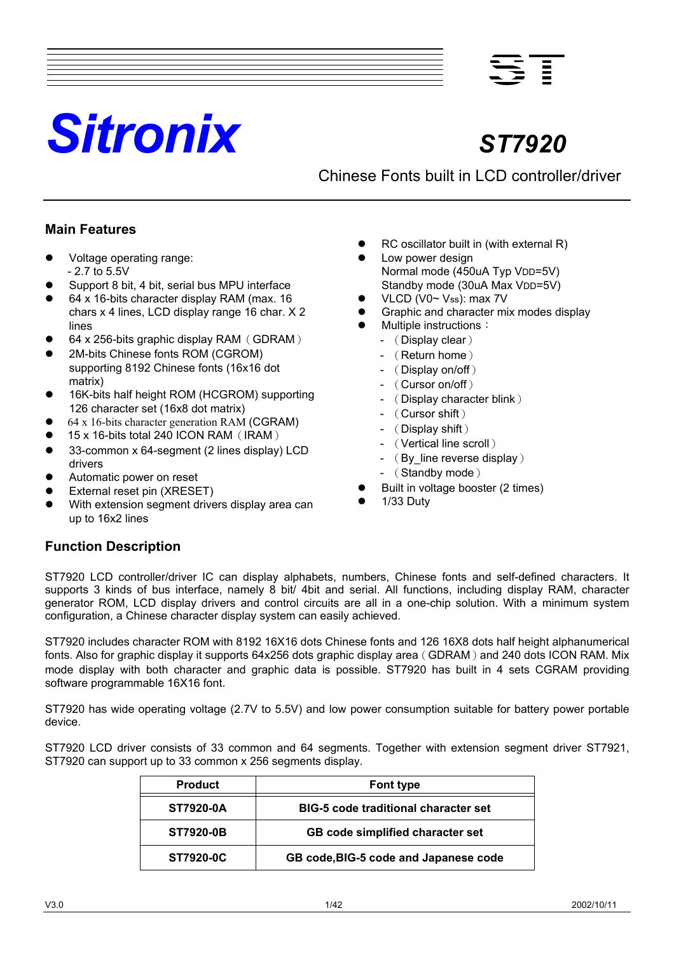# *Sitronix ST7920*

**ST**

Chinese Fonts built in LCD controller/driver

## **Main Features**

- Voltage operating range: - 2.7 to 5.5V
- Support 8 bit, 4 bit, serial bus MPU interface
- 64 x 16-bits character display RAM (max. 16 chars x 4 lines, LCD display range 16 char. X 2 lines
- 64 x 256-bits graphic display RAM (GDRAM)
- 2M-bits Chinese fonts ROM (CGROM) supporting 8192 Chinese fonts (16x16 dot matrix)
- 16K-bits half height ROM (HCGROM) supporting 126 character set (16x8 dot matrix)
- z 64 x 16-bits character generation RAM (CGRAM)
- 15 x 16-bits total 240 ICON RAM (IRAM)
- 33-common x 64-segment (2 lines display) LCD drivers
- Automatic power on reset
- External reset pin (XRESET)
- With extension segment drivers display area can up to 16x2 lines
- RC oscillator built in (with external R)
- Low power design Normal mode (450uA Typ VDD=5V) Standby mode (30uA Max VDD=5V)
- VLCD (V0~ Vss): max 7V
- Graphic and character mix modes display
	- Multiple instructions:
		- (Display clear)
		- (Return home)
		- (Display on/off)
		- (Cursor on/off)
		- (Display character blink)
		- (Cursor shift)
		- (Display shift)
		- (Vertical line scroll)
		- (By line reverse display)
		- (Standby mode)
- Built in voltage booster (2 times)
- 1/33 Duty

## **Function Description**

ST7920 LCD controller/driver IC can display alphabets, numbers, Chinese fonts and self-defined characters. It supports 3 kinds of bus interface, namely 8 bit/ 4bit and serial. All functions, including display RAM, character generator ROM, LCD display drivers and control circuits are all in a one-chip solution. With a minimum system configuration, a Chinese character display system can easily achieved.

ST7920 includes character ROM with 8192 16X16 dots Chinese fonts and 126 16X8 dots half height alphanumerical fonts. Also for graphic display it supports 64x256 dots graphic display area (GDRAM) and 240 dots ICON RAM. Mix mode display with both character and graphic data is possible. ST7920 has built in 4 sets CGRAM providing software programmable 16X16 font.

ST7920 has wide operating voltage (2.7V to 5.5V) and low power consumption suitable for battery power portable device.

ST7920 LCD driver consists of 33 common and 64 segments. Together with extension segment driver ST7921, ST7920 can support up to 33 common x 256 segments display.

| <b>Product</b>   | <b>Font type</b>                            |
|------------------|---------------------------------------------|
| <b>ST7920-0A</b> | <b>BIG-5 code traditional character set</b> |
| <b>ST7920-0B</b> | GB code simplified character set            |
| <b>ST7920-0C</b> | GB code, BIG-5 code and Japanese code       |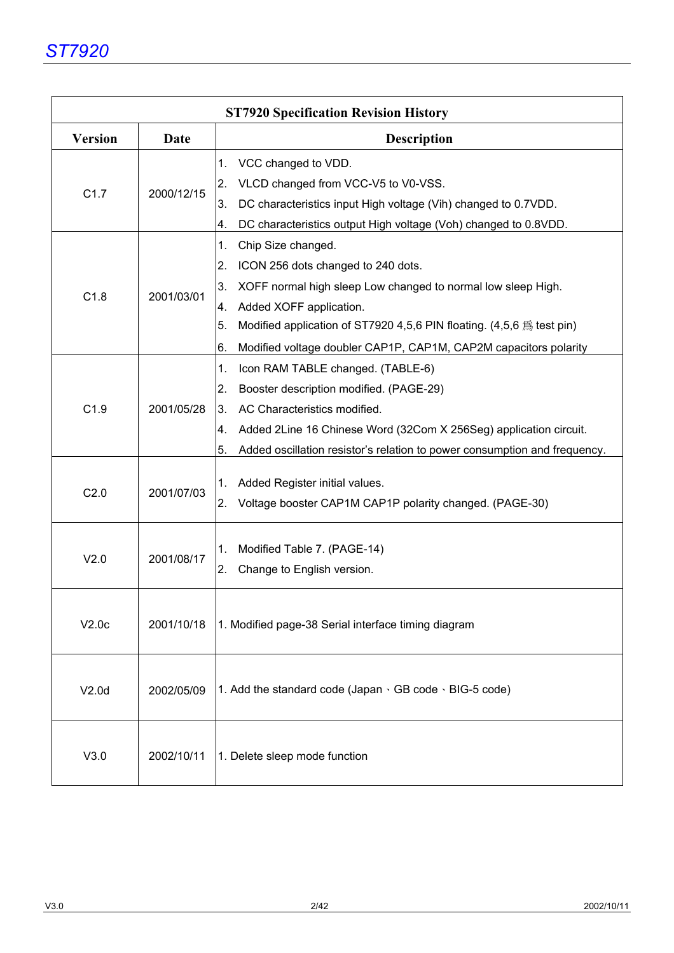|                |            | <b>ST7920 Specification Revision History</b>                                                                 |
|----------------|------------|--------------------------------------------------------------------------------------------------------------|
| <b>Version</b> | Date       | <b>Description</b>                                                                                           |
|                |            | VCC changed to VDD.<br>1.                                                                                    |
|                |            | 2.<br>VLCD changed from VCC-V5 to V0-VSS.                                                                    |
| C1.7           | 2000/12/15 | 3.<br>DC characteristics input High voltage (Vih) changed to 0.7VDD.                                         |
|                |            | 4.<br>DC characteristics output High voltage (Voh) changed to 0.8VDD.                                        |
|                |            | 1.<br>Chip Size changed.                                                                                     |
|                |            | 2.<br>ICON 256 dots changed to 240 dots.                                                                     |
|                |            | 3.<br>XOFF normal high sleep Low changed to normal low sleep High.                                           |
| C1.8           | 2001/03/01 | 4.<br>Added XOFF application.                                                                                |
|                |            | 5.<br>Modified application of ST7920 4,5,6 PIN floating. $(4,5,6)$ $\stackrel{\textstyle <}{\sim}$ test pin) |
|                |            | 6.<br>Modified voltage doubler CAP1P, CAP1M, CAP2M capacitors polarity                                       |
|                |            | 1.<br>Icon RAM TABLE changed. (TABLE-6)                                                                      |
|                |            | 2.<br>Booster description modified. (PAGE-29)                                                                |
| C1.9           | 2001/05/28 | 3.<br>AC Characteristics modified.                                                                           |
|                |            | Added 2Line 16 Chinese Word (32Com X 256Seg) application circuit.<br>4.                                      |
|                |            | 5.<br>Added oscillation resistor's relation to power consumption and frequency.                              |
|                |            |                                                                                                              |
| C2.0           | 2001/07/03 | 1.<br>Added Register initial values.                                                                         |
|                |            | 2.<br>Voltage booster CAP1M CAP1P polarity changed. (PAGE-30)                                                |
|                |            |                                                                                                              |
| V2.0           | 2001/08/17 | Modified Table 7. (PAGE-14)<br>1.                                                                            |
|                |            | 2.<br>Change to English version.                                                                             |
|                |            |                                                                                                              |
| V2.0c          | 2001/10/18 | 1. Modified page-38 Serial interface timing diagram                                                          |
|                |            |                                                                                                              |
|                |            |                                                                                                              |
| V2.0d          | 2002/05/09 | 1. Add the standard code (Japan $\cdot$ GB code $\cdot$ BIG-5 code)                                          |
|                |            |                                                                                                              |
|                |            |                                                                                                              |
| V3.0           | 2002/10/11 | 1. Delete sleep mode function                                                                                |
|                |            |                                                                                                              |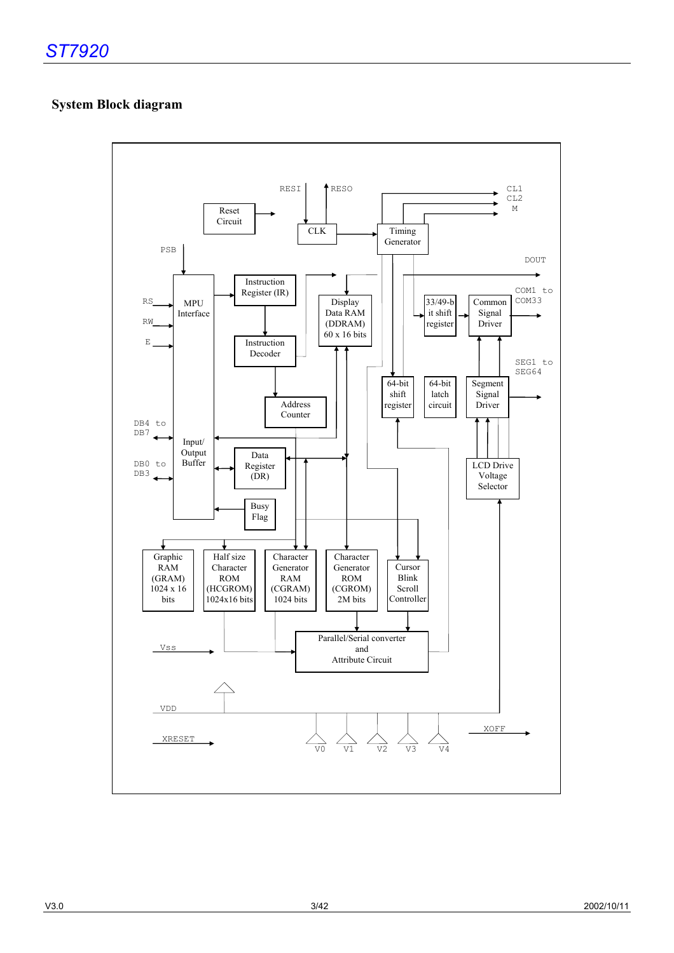## **System Block diagram**

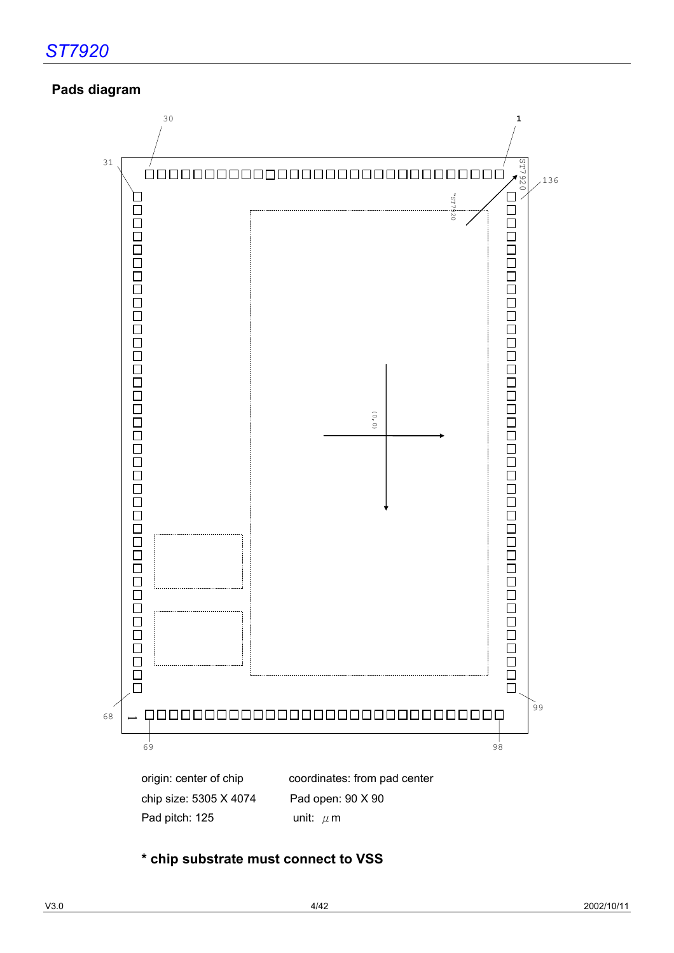## **Pads diagram**



**\* chip substrate must connect to VSS**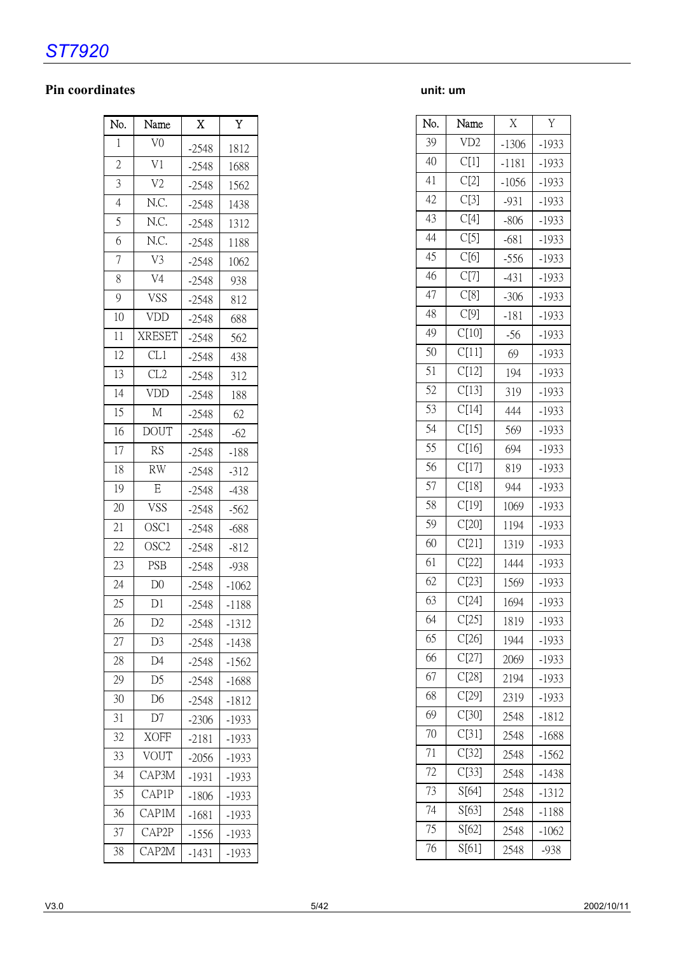# *ST7920*

## **Pin coordinates unit: um**

| No.             | Name             | X       | Y       |
|-----------------|------------------|---------|---------|
| 1               | V <sub>0</sub>   | $-2548$ | 1812    |
| $\overline{c}$  | V <sub>1</sub>   | $-2548$ | 1688    |
| 3               | V <sub>2</sub>   | $-2548$ | 1562    |
| $\overline{4}$  | N.C.             | $-2548$ | 1438    |
| 5               | N.C.             | $-2548$ | 1312    |
| 6               | N.C.             | $-2548$ | 1188    |
| $\overline{7}$  | V3               | $-2548$ | 1062    |
| 8               | V4               | $-2548$ | 938     |
| $\overline{9}$  | <b>VSS</b>       | $-2548$ | 812     |
| 10              | VDD              | $-2548$ | 688     |
| 11              | <b>XRESET</b>    | $-2548$ | 562     |
| 12              | CL1              | $-2548$ | 438     |
| 13              | CL2              | $-2548$ | 312     |
| $\overline{14}$ | VDD              | $-2548$ | 188     |
| $\overline{15}$ | $\overline{M}$   | $-2548$ | 62      |
| 16              | <b>DOUT</b>      | $-2548$ | $-62$   |
| 17              | <b>RS</b>        | $-2548$ | $-188$  |
| 18              | <b>RW</b>        | $-2548$ | $-312$  |
| 19              | E                | $-2548$ | $-438$  |
| 20              | <b>VSS</b>       | $-2548$ | $-562$  |
| 21              | OSC1             | $-2548$ | $-688$  |
| 22              | OSC <sub>2</sub> | $-2548$ | $-812$  |
| 23              | <b>PSB</b>       | $-2548$ | $-938$  |
| $\overline{24}$ | D <sub>0</sub>   | $-2548$ | $-1062$ |
| $\overline{25}$ | $\overline{D1}$  | $-2548$ | $-1188$ |
| 26              | D <sub>2</sub>   | $-2548$ | $-1312$ |
| 27              | D <sub>3</sub>   | $-2548$ | $-1438$ |
| 28              | D <sub>4</sub>   | $-2548$ | $-1562$ |
| 29              | D <sub>5</sub>   | $-2548$ | $-1688$ |
| 30              | D <sub>6</sub>   | $-2548$ | $-1812$ |
| 31              | D7               | $-2306$ | $-1933$ |
| 32              | <b>XOFF</b>      | -2181   | -1933   |
| 33              | VOUT             | $-2056$ | $-1933$ |
| 34              | CAP3M            | $-1931$ | $-1933$ |
| 35              | CAP1P            | $-1806$ | $-1933$ |
| 36              | CAP1M            | -1681   | $-1933$ |
| 37              | CAP2P            | $-1556$ | -1933   |
| 38              | CAP2M            | $-1431$ | $-1933$ |

| No. | Name               | $\overline{X}$ | Y       |
|-----|--------------------|----------------|---------|
| 39  | VD <sub>2</sub>    | $-1306$        | $-1933$ |
| 40  | C[1]               | $-1181$        | $-1933$ |
| 41  | C[2]               | $-1056$        | $-1933$ |
| 42  | C[3]               | $-931$         | $-1933$ |
| 43  | C[4]               | $-806$         | $-1933$ |
| 44  | C[5]               | $-681$         | $-1933$ |
| 45  | C[6]               | $-556$         | $-1933$ |
| 46  | C[7]               | $-431$         | $-1933$ |
| 47  | C[8]               | $-306$         | $-1933$ |
| 48  | C[9]               | $-181$         | $-1933$ |
| 49  | C[10]              | $-56$          | $-1933$ |
| 50  | C[11]              | 69             | $-1933$ |
| 51  | C[12]              | 194            | $-1933$ |
| 52  | C[13]              | 319            | $-1933$ |
| 53  | C[14]              | 444            | $-1933$ |
| 54  | $C[1\overline{5}]$ | 569            | $-1933$ |
| 55  | C[16]              | 694            | $-1933$ |
| 56  | C[17]              | 819            | $-1933$ |
| 57  | C[18]              | 944            | $-1933$ |
| 58  | C[19]              | 1069           | $-1933$ |
| 59  | C[20]              | 1194           | $-1933$ |
| 60  | C[21]              | 1319           | $-1933$ |
| 61  | C[22]              | 1444           | $-1933$ |
| 62  | C[23]              | 1569           | $-1933$ |
| 63  | C[24]              | 1694           | $-1933$ |
| 64  | C[25]              | 1819           | -1933   |
| 65  | C[26]              | 1944           | $-1933$ |
| 66  | C[27]              | 2069           | $-1933$ |
| 67  | C[28]              | 2194           | $-1933$ |
| 68  | C[29]              | 2319           | $-1933$ |
| 69  | $CI30$ ]           | 2548           | $-1812$ |
| 70  | C[31]              | 2548           | $-1688$ |
| 71  | C[32]              | 2548           | $-1562$ |
| 72  | C[33]              | 2548           | $-1438$ |
| 73  | S[64]              | 2548           | $-1312$ |
| 74  | S[63]              | 2548           | $-1188$ |
| 75  | S[62]              | 2548           | $-1062$ |
| 76  | S[61]              | 2548           | -938    |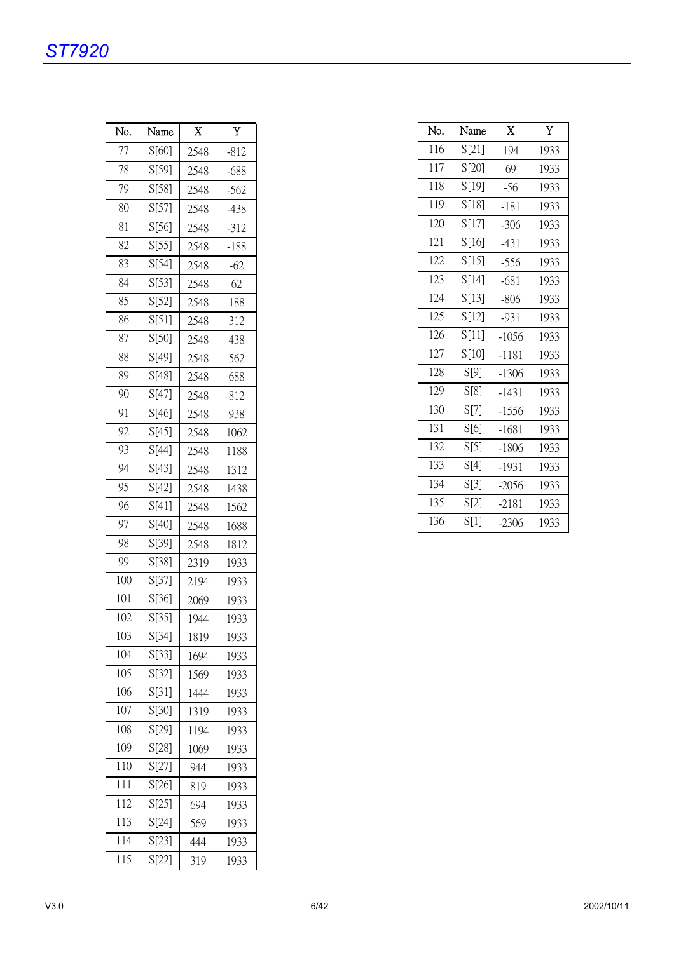# *ST7920*

| No. | Name  | X    | Y      |
|-----|-------|------|--------|
| 77  | S[60] | 2548 | $-812$ |
| 78  | S[59] | 2548 | $-688$ |
| 79  | S[58] | 2548 | $-562$ |
| 80  | S[57] | 2548 | $-438$ |
| 81  | S[56] | 2548 | $-312$ |
| 82  | S[55] | 2548 | $-188$ |
| 83  | S[54] | 2548 | $-62$  |
| 84  | S[53] | 2548 | 62     |
| 85  | S[52] | 2548 | 188    |
| 86  | S[51] | 2548 | 312    |
| 87  | S[50] | 2548 | 438    |
| 88  | S[49] | 2548 | 562    |
| 89  | S[48] | 2548 | 688    |
| 90  | S[47] | 2548 | 812    |
| 91  | S[46] | 2548 | 938    |
| 92  | S[45] | 2548 | 1062   |
| 93  | S[44] | 2548 | 1188   |
| 94  | S[43] | 2548 | 1312   |
| 95  | S[42] | 2548 | 1438   |
| 96  | S[41] | 2548 | 1562   |
| 97  | S[40] | 2548 | 1688   |
| 98  | S[39] | 2548 | 1812   |
| 99  | S[38] | 2319 | 1933   |
| 100 | S[37] | 2194 | 1933   |
| 101 | S[36] | 2069 | 1933   |
| 102 | S[35] | 1944 | 1933   |
| 103 | S[34] | 1819 | 1933   |
| 104 | S[33] | 1694 | 1933   |
| 105 | S[32] | 1569 | 1933   |
| 106 | S[31] | 1444 | 1933   |
| 107 | S[30] | 1319 | 1933   |
| 108 | S[29] | 1194 | 1933   |
| 109 | S[28] | 1069 | 1933   |
| 110 | S[27] | 944  | 1933   |
| 111 | S[26] | 819  | 1933   |
| 112 | S[25] | 694  | 1933   |
| 113 | S[24] | 569  | 1933   |
| 114 | S[23] | 444  | 1933   |
| 115 | S[22] | 319  | 1933   |

| No. | Name  | X       | Y    |
|-----|-------|---------|------|
| 116 | S[21] | 194     | 1933 |
| 117 | S[20] | 69      | 1933 |
| 118 | S[19] | $-56$   | 1933 |
| 119 | S[18] | $-181$  | 1933 |
| 120 | S[17] | $-306$  | 1933 |
| 121 | S[16] | $-431$  | 1933 |
| 122 | S[15] | $-556$  | 1933 |
| 123 | S[14] | $-681$  | 1933 |
| 124 | S[13] | $-806$  | 1933 |
| 125 | S[12] | $-931$  | 1933 |
| 126 | S[11] | $-1056$ | 1933 |
| 127 | S[10] | $-1181$ | 1933 |
| 128 | S[9]  | $-1306$ | 1933 |
| 129 | S[8]  | $-1431$ | 1933 |
| 130 | S[7]  | $-1556$ | 1933 |
| 131 | S[6]  | $-1681$ | 1933 |
| 132 | S[5]  | $-1806$ | 1933 |
| 133 | S[4]  | $-1931$ | 1933 |
| 134 | S[3]  | $-2056$ | 1933 |
| 135 | S[2]  | $-2181$ | 1933 |
| 136 | S[1]  | $-2306$ | 1933 |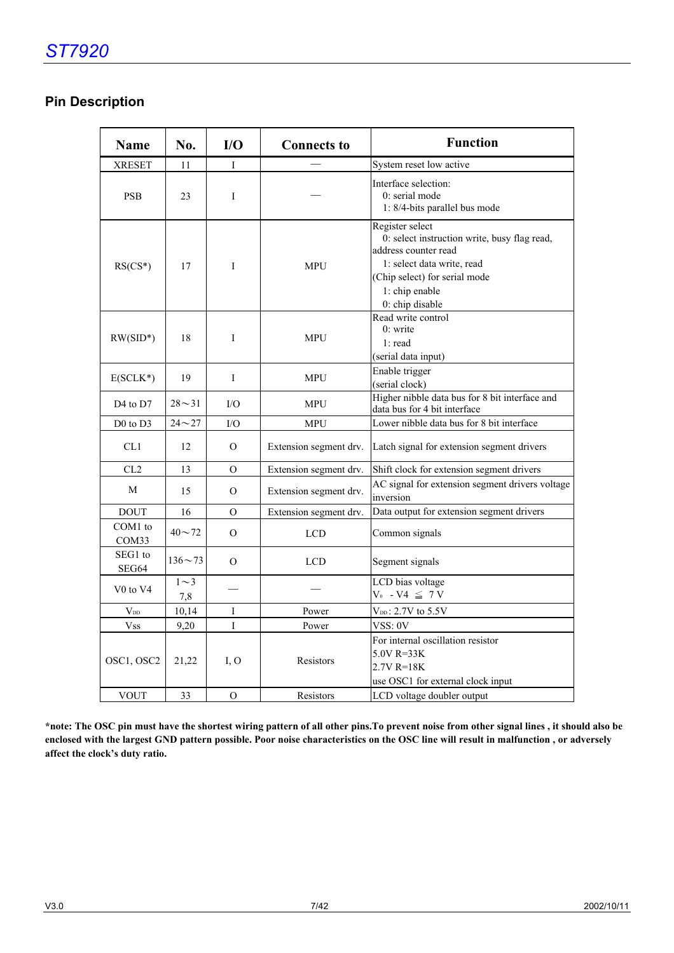## **Pin Description**

| <b>Name</b>                      | No.             | I/O          | <b>Connects to</b>     | <b>Function</b>                                                                                                                                                                             |
|----------------------------------|-----------------|--------------|------------------------|---------------------------------------------------------------------------------------------------------------------------------------------------------------------------------------------|
| <b>XRESET</b>                    | 11              | I            |                        | System reset low active                                                                                                                                                                     |
| <b>PSB</b>                       | 23              | I            |                        | Interface selection:<br>0: serial mode<br>1: 8/4-bits parallel bus mode                                                                                                                     |
| $RS(CS*)$                        | 17              | I            | <b>MPU</b>             | Register select<br>0: select instruction write, busy flag read,<br>address counter read<br>1: select data write, read<br>(Chip select) for serial mode<br>1: chip enable<br>0: chip disable |
| $RW(SID*)$                       | 18              | I            | <b>MPU</b>             | Read write control<br>$0:$ write<br>1: read<br>(serial data input)                                                                                                                          |
| $E(SCLK^*)$                      | 19              | I            | <b>MPU</b>             | Enable trigger<br>(serial clock)                                                                                                                                                            |
| D <sub>4</sub> to D <sub>7</sub> | $28 - 31$       | $\rm LO$     | <b>MPU</b>             | Higher nibble data bus for 8 bit interface and<br>data bus for 4 bit interface                                                                                                              |
| $D0$ to $D3$                     | $24 - 27$       | $\rm LO$     | <b>MPU</b>             | Lower nibble data bus for 8 bit interface                                                                                                                                                   |
| CL1                              | 12              | $\mathbf{O}$ | Extension segment drv. | Latch signal for extension segment drivers                                                                                                                                                  |
| CL <sub>2</sub>                  | 13              | $\Omega$     | Extension segment drv. | Shift clock for extension segment drivers                                                                                                                                                   |
| M                                | 15              | $\Omega$     | Extension segment drv. | AC signal for extension segment drivers voltage<br>inversion                                                                                                                                |
| <b>DOUT</b>                      | 16              | O            | Extension segment drv. | Data output for extension segment drivers                                                                                                                                                   |
| COM1 to<br>COM <sub>33</sub>     | $40 - 72$       | $\Omega$     | <b>LCD</b>             | Common signals                                                                                                                                                                              |
| SEG1 to<br>SEG64                 | $136 \sim 73$   | $\Omega$     | <b>LCD</b>             | Segment signals                                                                                                                                                                             |
| V <sub>0</sub> to V <sub>4</sub> | $1\sim3$<br>7,8 |              |                        | LCD bias voltage<br>$V_0$ - $V4 \leq 7 V$                                                                                                                                                   |
| $V_{DD}$                         | 10,14           | I            | Power                  | $V_{DD}$ : 2.7V to 5.5V                                                                                                                                                                     |
| <b>Vss</b>                       | 9,20            | $\mathbf{I}$ | Power                  | VSS: 0V                                                                                                                                                                                     |
| OSC1, OSC2                       | 21,22           | I.O          | Resistors              | For internal oscillation resistor<br>$5.0V$ R=33K<br>$2.7V$ R=18K<br>use OSC1 for external clock input                                                                                      |
| <b>VOUT</b>                      | 33              | $\mathbf{O}$ | Resistors              | LCD voltage doubler output                                                                                                                                                                  |

**\*note: The OSC pin must have the shortest wiring pattern of all other pins.To prevent noise from other signal lines , it should also be enclosed with the largest GND pattern possible. Poor noise characteristics on the OSC line will result in malfunction , or adversely affect the clock's duty ratio.**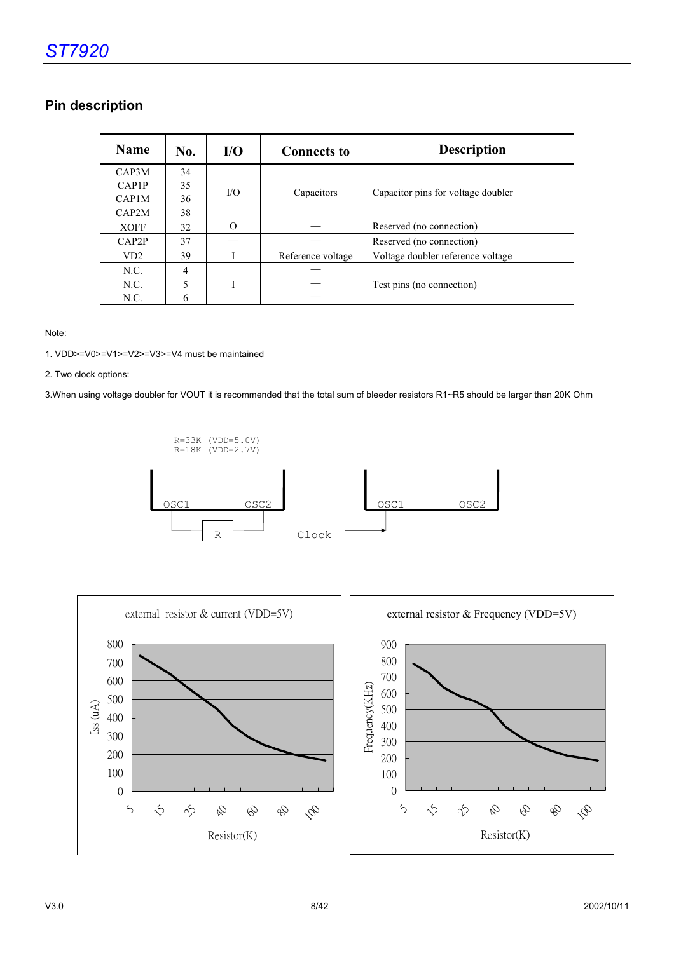## **Pin description**

| <b>Name</b>        | No. | $U$       | <b>Connects to</b> | <b>Description</b>                 |
|--------------------|-----|-----------|--------------------|------------------------------------|
| CAP3M              | 34  |           |                    |                                    |
| CAP <sub>1</sub> P | 35  | $\rm I/O$ |                    |                                    |
| CAP1M              | 36  |           | Capacitors         | Capacitor pins for voltage doubler |
| CAP2M              | 38  |           |                    |                                    |
| <b>XOFF</b>        | 32  | $\Omega$  |                    | Reserved (no connection)           |
| CAP2P              | 37  |           |                    | Reserved (no connection)           |
| VD <sub>2</sub>    | 39  |           | Reference voltage  | Voltage doubler reference voltage  |
| N.C.               | 4   |           |                    |                                    |
| N.C.               | 5   | т         |                    | Test pins (no connection)          |
| N.C.               | 6   |           |                    |                                    |

Note:

1. VDD>=V0>=V1>=V2>=V3>=V4 must be maintained

2. Two clock options:

3.When using voltage doubler for VOUT it is recommended that the total sum of bleeder resistors R1~R5 should be larger than 20K Ohm



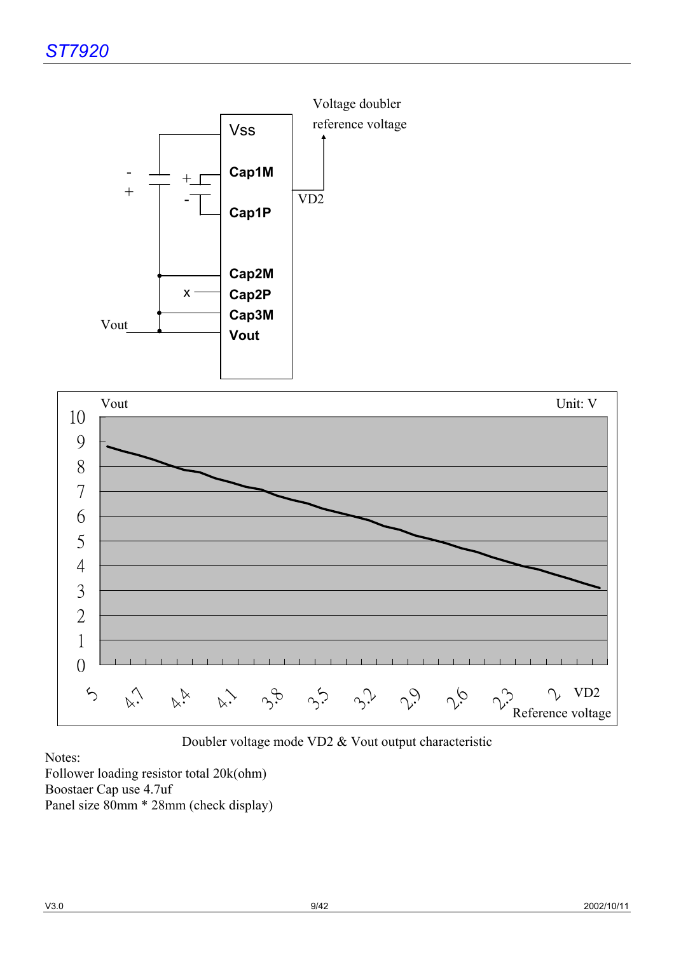



Doubler voltage mode VD2 & Vout output characteristic

Notes:

Follower loading resistor total 20k(ohm) Boostaer Cap use 4.7uf Panel size 80mm \* 28mm (check display)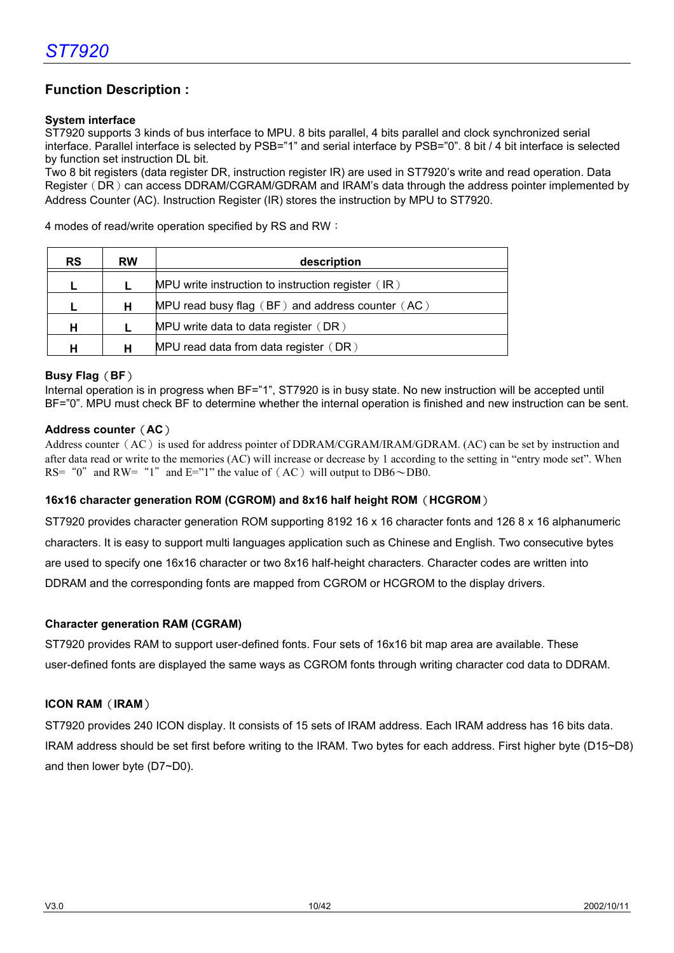## **Function Description :**

#### **System interface**

ST7920 supports 3 kinds of bus interface to MPU. 8 bits parallel, 4 bits parallel and clock synchronized serial interface. Parallel interface is selected by PSB="1" and serial interface by PSB="0". 8 bit / 4 bit interface is selected by function set instruction DL bit.

Two 8 bit registers (data register DR, instruction register IR) are used in ST7920's write and read operation. Data Register (DR) can access DDRAM/CGRAM/GDRAM and IRAM's data through the address pointer implemented by Address Counter (AC). Instruction Register (IR) stores the instruction by MPU to ST7920.

4 modes of read/write operation specified by RS and RW:

| <b>RS</b> | <b>RW</b> | description                                          |
|-----------|-----------|------------------------------------------------------|
|           |           | MPU write instruction to instruction register $(IR)$ |
|           | н         | MPU read busy flag $(BF)$ and address counter $(AC)$ |
| н         |           | MPU write data to data register (DR)                 |
| н         |           | MPU read data from data register (DR)                |

#### **Busy Flag**(**BF**)

Internal operation is in progress when BF="1", ST7920 is in busy state. No new instruction will be accepted until BF="0". MPU must check BF to determine whether the internal operation is finished and new instruction can be sent.

#### **Address counter**(**AC**)

Address counter ( $AC$ ) is used for address pointer of DDRAM/CGRAM/IRAM/GDRAM. (AC) can be set by instruction and after data read or write to the memories (AC) will increase or decrease by 1 according to the setting in "entry mode set". When RS= "0" and RW= "1" and E="1" the value of  $(AC)$  will output to DB6 $\sim$ DB0.

#### **16x16 character generation ROM (CGROM) and 8x16 half height ROM**(**HCGROM**)

ST7920 provides character generation ROM supporting 8192 16 x 16 character fonts and 126 8 x 16 alphanumeric characters. It is easy to support multi languages application such as Chinese and English. Two consecutive bytes are used to specify one 16x16 character or two 8x16 half-height characters. Character codes are written into DDRAM and the corresponding fonts are mapped from CGROM or HCGROM to the display drivers.

#### **Character generation RAM (CGRAM)**

ST7920 provides RAM to support user-defined fonts. Four sets of 16x16 bit map area are available. These user-defined fonts are displayed the same ways as CGROM fonts through writing character cod data to DDRAM.

#### **ICON RAM**(**IRAM**)

ST7920 provides 240 ICON display. It consists of 15 sets of IRAM address. Each IRAM address has 16 bits data. IRAM address should be set first before writing to the IRAM. Two bytes for each address. First higher byte (D15~D8) and then lower byte (D7~D0).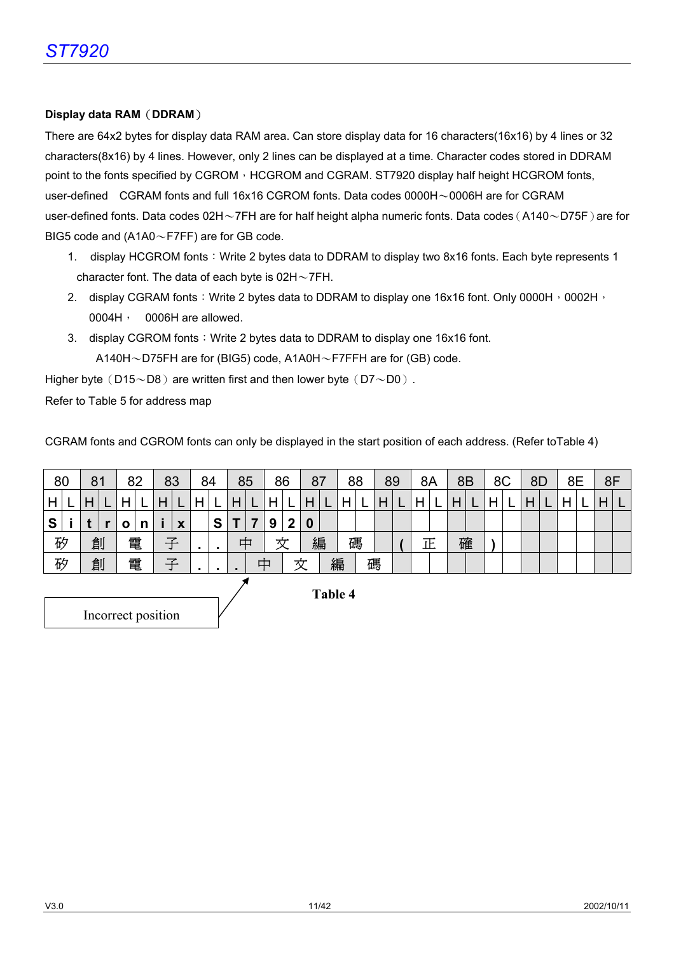#### **Display data RAM**(**DDRAM**)

There are 64x2 bytes for display data RAM area. Can store display data for 16 characters(16x16) by 4 lines or 32 characters(8x16) by 4 lines. However, only 2 lines can be displayed at a time. Character codes stored in DDRAM point to the fonts specified by CGROM  $\cdot$  HCGROM and CGRAM. ST7920 display half height HCGROM fonts, user-defined CGRAM fonts and full 16x16 CGROM fonts. Data codes 0000H〜0006H are for CGRAM user-defined fonts. Data codes 02H∼7FH are for half height alpha numeric fonts. Data codes (A140∼D75F) are for BIG5 code and (A1A0〜F7FF) are for GB code.

- 1. display HCGROM fonts: Write 2 bytes data to DDRAM to display two 8x16 fonts. Each byte represents 1 character font. The data of each byte is 02H〜7FH.
- 2. display CGRAM fonts: Write 2 bytes data to DDRAM to display one 16x16 font. Only 0000H, 0002H, 0004H, 0006H are allowed.
- 3. display CGROM fonts: Write 2 bytes data to DDRAM to display one 16x16 font. A140H〜D75FH are for (BIG5) code, A1A0H〜F7FFH are for (GB) code.

Higher byte (D15 $\sim$ D8) are written first and then lower byte (D7 $\sim$ D0).

Refer to Table 5 for address map

CGRAM fonts and CGROM fonts can only be displayed in the start position of each address. (Refer toTable 4)

| 80             |  | 81 |  | 82 |   |   | 83 | 84 |   |                | 85 |   | 86 |   | 87 |   | 88 | 89 |  | 8A |   | 8B           |   | 8C |  | 8D |  | 8E | 8F |  |
|----------------|--|----|--|----|---|---|----|----|---|----------------|----|---|----|---|----|---|----|----|--|----|---|--------------|---|----|--|----|--|----|----|--|
| H              |  | H  |  |    |   |   |    |    |   |                |    | Η |    | Η |    |   |    |    |  |    |   | $\mathsf{H}$ |   |    |  |    |  | Н  | H  |  |
| S              |  |    |  | O  | n |   | X  |    | S | Τ              |    | 9 | 2  | 0 |    |   |    |    |  |    |   |              |   |    |  |    |  |    |    |  |
| 矽              |  | 創  |  |    | 電 | 子 |    |    |   | 中              |    | 文 |    | 編 |    |   | 碼  |    |  |    | 正 |              | 確 |    |  |    |  |    |    |  |
| 矽              |  | 創  |  |    | 電 |   | 子  |    |   | $\blacksquare$ |    | 中 |    | 文 |    | 編 |    | 碼  |  |    |   |              |   |    |  |    |  |    |    |  |
| <b>Table 4</b> |  |    |  |    |   |   |    |    |   |                |    |   |    |   |    |   |    |    |  |    |   |              |   |    |  |    |  |    |    |  |

Incorrect position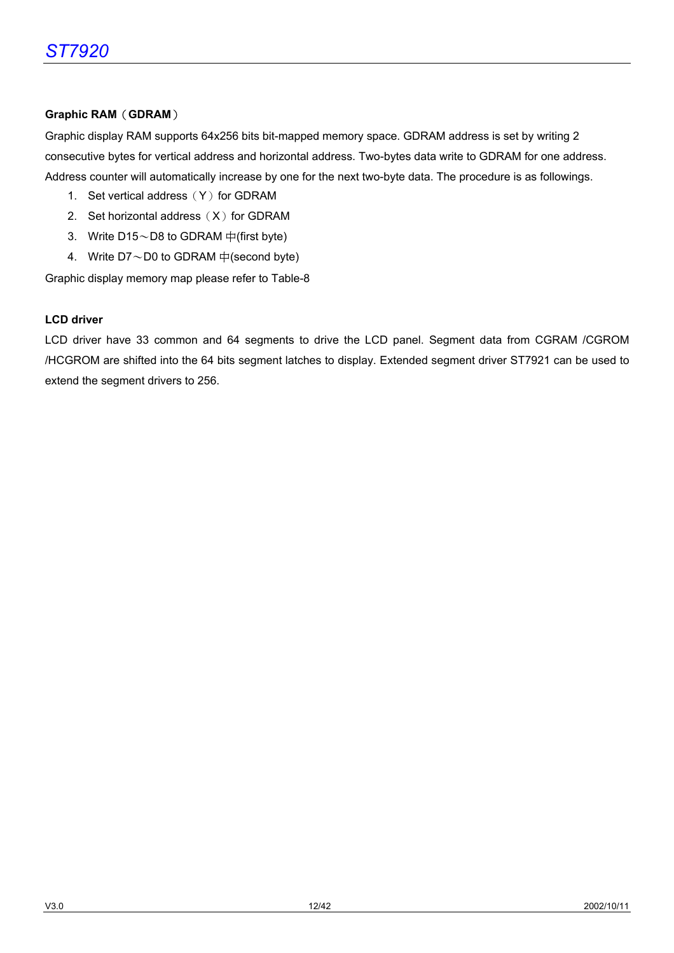#### **Graphic RAM**(**GDRAM**)

Graphic display RAM supports 64x256 bits bit-mapped memory space. GDRAM address is set by writing 2 consecutive bytes for vertical address and horizontal address. Two-bytes data write to GDRAM for one address. Address counter will automatically increase by one for the next two-byte data. The procedure is as followings.

- 1. Set vertical address  $(Y)$  for GDRAM
- 2. Set horizontal address  $(X)$  for GDRAM
- 3. Write  $D15 \sim D8$  to GDRAM  $\#$ (first byte)
- 4. Write  $D7 \sim D0$  to GDRAM  $\oplus$  (second byte)

Graphic display memory map please refer to Table-8

#### **LCD driver**

LCD driver have 33 common and 64 segments to drive the LCD panel. Segment data from CGRAM /CGROM /HCGROM are shifted into the 64 bits segment latches to display. Extended segment driver ST7921 can be used to extend the segment drivers to 256.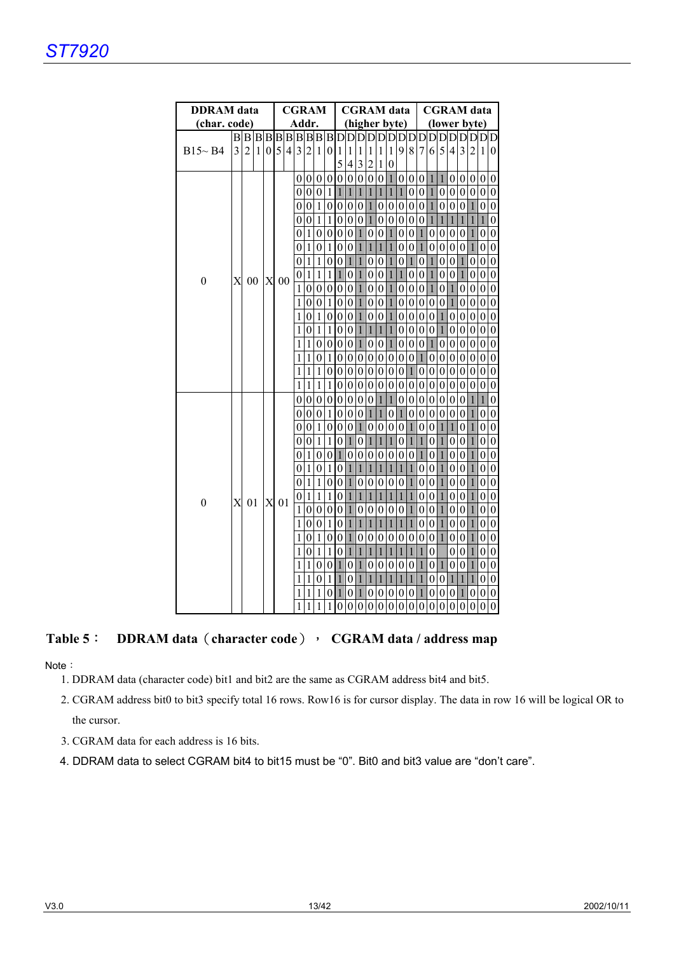| <b>DDRAM</b> data |                |                |    |          | <b>CGRAM</b> |   |              |                  |                  | <b>CGRAM</b> data<br>(higher byte) |                  |                  |                |                  |                  |                | <b>CGRAM</b> data |                  |                  |                  |                         |                |                  |                  |                  |                  |
|-------------------|----------------|----------------|----|----------|--------------|---|--------------|------------------|------------------|------------------------------------|------------------|------------------|----------------|------------------|------------------|----------------|-------------------|------------------|------------------|------------------|-------------------------|----------------|------------------|------------------|------------------|------------------|
| (char. code)      |                |                |    |          |              |   |              | Addr.            |                  |                                    |                  |                  |                |                  |                  |                |                   |                  | (lower byte)     |                  |                         |                |                  |                  |                  |                  |
|                   |                |                |    |          |              |   |              |                  |                  |                                    |                  |                  |                |                  |                  |                |                   |                  |                  |                  |                         |                |                  |                  |                  |                  |
| $B15 \sim B4$     | $\overline{3}$ | $\overline{2}$ | 1  | $\Omega$ | 5            | 4 |              | 3 <sub>2</sub>   | $\mathbf{1}$     | $\overline{0}$                     | 1                | 1                | 1              | $\mathbf{1}$     | $\mathbf{1}$     | 1              | 9                 | 8                | 7 <sup>1</sup>   | 6                | $\overline{\mathbf{5}}$ | 4 <sup>1</sup> | $\overline{3}$   | $\overline{2}$   | 1                | 0                |
|                   |                |                |    |          |              |   |              |                  |                  |                                    | 5                | 4                | 3              | $\overline{c}$   | 1                | 0              |                   |                  |                  |                  |                         |                |                  |                  |                  |                  |
|                   |                |                |    |          |              |   |              | 0 <sub>0</sub>   | $\boldsymbol{0}$ | $\overline{0}$                     | $\boldsymbol{0}$ | $\boldsymbol{0}$ | $\overline{0}$ | $\mathbf{0}$     | $\boldsymbol{0}$ | $\mathbf{1}$   | $\boldsymbol{0}$  | $\boldsymbol{0}$ |                  | $0\vert 1$       | $\overline{1}$          |                | 0 <sub>0</sub>   | 0 <sub>0</sub>   |                  | $\overline{0}$   |
|                   |                |                |    |          |              |   | 0            | $\mathbf{0}$     | $\theta$         | 1                                  | 1                | 1                | 1              | $\mathbf{1}$     | 1                | 1              | 1                 | $\overline{0}$   | $\mathbf{0}$     | $\mathbf{1}$     | $\theta$                | $\mathbf{0}$   | $\theta$         | $\theta$         | $\boldsymbol{0}$ | 0                |
|                   |                |                |    |          |              |   | $\Omega$     | $\boldsymbol{0}$ | 1                | $\overline{0}$                     | $\theta$         | $\theta$         | $\overline{0}$ | $\mathbf{1}$     | $\theta$         | $\overline{0}$ | $\boldsymbol{0}$  | $\theta$         | $\overline{0}$   | $\mathbf{1}$     | $\overline{0}$          | $\overline{0}$ | $\overline{0}$   | $\mathbf{1}$     | $\theta$         | $\theta$         |
|                   |                |                |    |          |              |   | 0            | $\mathbf{0}$     | 1                | 1                                  | $\theta$         | 0                | $\overline{0}$ | $\mathbf{1}$     | $\theta$         |                | 0 <sub>0</sub>    | $\theta$         | 0 <sup>1</sup>   |                  | $\mathbf{1}$            | $\mathbf{1}$   | $\mathbf{1}$     | $\mathbf{1}$     | 1                | 0                |
|                   |                |                |    |          |              |   | 0            | $\mathbf{1}$     | $\theta$         | $\overline{0}$                     | $\boldsymbol{0}$ | $\theta$         | $\vert$ 1      | $\boldsymbol{0}$ | $\mathbf{0}$     | $\mathbf{1}$   | $\boldsymbol{0}$  | $\theta$         | $\mathbf{1}$     | $\boldsymbol{0}$ | $\Omega$                | 0 <sub>0</sub> |                  | $\mathbf{1}$     | $\theta$         | $\theta$         |
|                   |                |                |    |          |              |   | 0            | $\mathbf{1}$     | $\theta$         | $\frac{1}{2}$                      | $\theta$         | $\theta$         | $\mathbf{1}$   | $\mathbf{1}$     | $\mathbf{1}$     | $\mathbf{1}$   | $\boldsymbol{0}$  | $\theta$         | $\mathbf{1}$     | $\boldsymbol{0}$ | $\mathbf{0}$            | $\overline{0}$ | $\theta$         | $\mathbf{1}$     | $\overline{0}$   | 0                |
|                   |                |                |    |          |              |   | 0            | $\mathbf{1}$     | 1                | $\overline{0}$                     | $\boldsymbol{0}$ | $\mathbf{1}$     | 1              | $\mathbf{0}$     | $\theta$         | $\mathbf{1}$   | $\boldsymbol{0}$  | $\mathbf{1}$     | $\boldsymbol{0}$ | $\mathbf{1}$     | $\boldsymbol{0}$        | $\overline{0}$ | $\mathbf{1}$     | $\theta$         | $\theta$         | 0                |
| $\boldsymbol{0}$  | X              |                | 00 | X        | 00           |   | 0            | $\mathbf{1}$     | 1                | $\frac{1}{2}$                      | $\mathbf{1}$     | $\theta$         | $\vert$ 1      | $\mathbf{0}$     | $\theta$         | 11             | $\mathbf{1}$      | $\theta$         | 0 <sup>1</sup>   |                  | $\mathbf{0}$            | 0 <sup>1</sup> |                  | $\theta$         | $\overline{0}$   | 0                |
|                   |                |                |    |          |              |   |              | 1 <sub>0</sub>   | $\theta$         | $\overline{0}$                     | $\boldsymbol{0}$ | $\theta$         | $\vert$        | $\mathbf{0}$     | $\theta$         | $\mathbf{1}$   | $\boldsymbol{0}$  | $\theta$         | 0 <sup>1</sup>   |                  | $\overline{0}$          | $\mathbf{1}$   | 10               | $\boldsymbol{0}$ | $\theta$         | 0                |
|                   |                |                |    |          |              |   | 1            | $\boldsymbol{0}$ | $\theta$         | $\frac{1}{2}$                      | $\theta$         | $\theta$         | $\vert$        | $\mathbf{0}$     | $\theta$         | $\mathbf{1}$   | $\boldsymbol{0}$  | 0                | 0 <sup>0</sup>   |                  | $\boldsymbol{0}$        | $\mathbf{1}$   | $\theta$         | $\theta$         | $\overline{0}$   | 0                |
|                   |                |                |    |          |              |   | 1            | $\boldsymbol{0}$ | 1                | $\overline{0}$                     | $\boldsymbol{0}$ | $\theta$         | $\mathbf{1}$   | $\boldsymbol{0}$ | $\theta$         | $\mathbf{1}$   | $\boldsymbol{0}$  | $\theta$         | 0 <sub>0</sub>   |                  | $\mathbf{1}$            | 0 <sub>0</sub> |                  | $\boldsymbol{0}$ | $\theta$         | 0                |
|                   |                |                |    |          |              |   | 1            | $\boldsymbol{0}$ | 1                | $\frac{1}{2}$                      | 0                | 0                | $\mathbf{1}$   | $\mathbf{1}$     | $\mathbf{1}$     | $\mathbf{1}$   | $\boldsymbol{0}$  | 0                | 0 <sub>0</sub>   |                  | $\mathbf{1}$            | 0 <sup>0</sup> |                  | $\theta$         | $\overline{0}$   | 0                |
|                   |                |                |    |          |              |   | 1            | $\mathbf{1}$     | $\theta$         | $\overline{0}$                     | $\boldsymbol{0}$ | $\theta$         | $\mathbf{1}$   | $\boldsymbol{0}$ | $\boldsymbol{0}$ | $\mathbf{1}$   | $\boldsymbol{0}$  | $\theta$         | $\overline{0}$   | $\mathbf{1}$     | $\boldsymbol{0}$        | 0 <sup>0</sup> |                  | $\boldsymbol{0}$ | $\overline{0}$   | 0                |
|                   |                |                |    |          |              | 1 | $\mathbf{1}$ | $\overline{0}$   | $\mathbf{1}$     | $\boldsymbol{0}$                   | $\boldsymbol{0}$ | $\overline{0}$   | $\mathbf{0}$   | $\boldsymbol{0}$ | 0 <sub>0</sub>   |                | $\boldsymbol{0}$  | $\overline{1}$   | $\mathbf{0}$     | $\boldsymbol{0}$ | 0 <sup>0</sup>          |                | $\boldsymbol{0}$ | $\mathbf{0}$     | $\boldsymbol{0}$ |                  |
|                   |                |                |    |          |              |   | 1            | 1                | 1                | $\overline{0}$                     | $\theta$         | $\theta$         | $\overline{0}$ | $\boldsymbol{0}$ | $\boldsymbol{0}$ | 0 <sub>0</sub> |                   | $\mathbf{1}$     |                  | 0 <sub>0</sub>   | $\boldsymbol{0}$        | 0 <sup>0</sup> |                  | $\theta$         | $\overline{0}$   | 0                |
|                   |                |                |    |          |              |   | $\mathbf{1}$ | $\mathbf{1}$     | $\mathbf{1}$     | $\mathbf{1}$                       | $\mathbf{0}$     | $\boldsymbol{0}$ | $\overline{0}$ | $\boldsymbol{0}$ | $\boldsymbol{0}$ | 0 <sub>0</sub> |                   | $\boldsymbol{0}$ | 0 <sup>0</sup>   |                  | $\boldsymbol{0}$        | 0 <sup>0</sup> |                  | $\boldsymbol{0}$ | $\mathbf{0}$     | $\boldsymbol{0}$ |
|                   |                |                |    |          |              |   | 0            | $\boldsymbol{0}$ | $\theta$         | $\theta$                           | $\theta$         | $\Omega$         | $\overline{0}$ | $\boldsymbol{0}$ | $\mathbf{1}$     | $\mathbf{1}$   | $\boldsymbol{0}$  | $\theta$         | 0 <sub>0</sub>   |                  | $\boldsymbol{0}$        | 0 <sub>0</sub> |                  | $\mathbf{1}$     | $\mathbf{1}$     | $\theta$         |
|                   |                |                |    |          |              |   | 0            | $\mathbf{0}$     | $\theta$         | $1\vert$                           | 0                | $\Omega$         | 0 1            |                  | $\mathbf{1}$     | 0 1            |                   | 0                | 0 <sub>0</sub>   |                  | $\boldsymbol{0}$        | 0 <sub>0</sub> |                  | $\mathbf{1}$     | $\theta$         | $\mathbf{0}$     |
|                   |                |                |    |          |              |   | 0            | $\boldsymbol{0}$ | 1                | $\Omega$                           | $\theta$         | $\theta$         | $\overline{1}$ | $\overline{0}$   | $\theta$         |                | 0 <sub>0</sub>    | $\mathbf{1}$     |                  | 0 <sub>0</sub>   | $\mathbf{1}$            | $\mathbf{1}$   | $\theta$         | $\mathbf{1}$     | $\theta$         | $\theta$         |
|                   |                |                |    |          |              |   | 0            | $\theta$         | $\mathbf{1}$     | $1\vert$                           | 0                | $\mathbf{1}$     | 0 1            |                  | $\mathbf{1}$     | $\mathbf{1}$   | 0                 | $\mathbf{1}$     | $\mathbf{1}$     | $\boldsymbol{0}$ | $\mathbf{1}$            | 0 <sub>0</sub> |                  | $\mathbf{1}$     | $\mathbf{0}$     | $\theta$         |
|                   |                |                |    |          |              |   | 0            | $\mathbf{1}$     | $\theta$         | $\overline{0}$                     | $\mathbf{1}$     | $\Omega$         | $\overline{0}$ | $\mathbf{0}$     | $\theta$         |                | 0 <sub>0</sub>    | $\theta$         | $\overline{1}$   | $\theta$         | $\hat{\textbf{0}}$      | 0 <sub>0</sub> |                  | $\mathbf{1}$     | $\theta$         | $\theta$         |
|                   |                |                |    |          |              |   | 0            | $\mathbf{1}$     | $\theta$         | $1\vert$                           | 0                | $\mathbf{1}$     | $\mathbf{1}$   | $\mathbf{1}$     | $\mathbf{1}$     | $\mathbf{1}$   | $\vert$ 1         | $\mathbf{1}$     |                  | 0 <sub>0</sub>   | $\mathbf{1}$            | 0 <sub>0</sub> |                  | $\mathbf{1}$     | $\mathbf{0}$     | $\theta$         |
|                   |                |                |    |          |              |   | 0            | $\mathbf{1}$     | 1                | $\overline{0}$                     | $\theta$         | $\mathbf{1}$     | $\overline{0}$ | $\Omega$         | $\mathbf{0}$     |                | 0 <sub>0</sub>    | $\mathbf{1}$     |                  | 0 <sub>0</sub>   | $\mathbf{1}$            |                | 0 <sub>0</sub>   | $\mathbf{1}$     | $\theta$         | 0                |
| $\boldsymbol{0}$  | X              |                | 01 | X        | 01           |   |              | 0 <sub>1</sub>   | $\mathbf{1}$     | $\mathbf{1}$                       | 0                | $\mathbf{1}$     | $\mathbf{1}$   | $\mathbf{1}$     | $\mathbf{1}$     | $\mathbf{1}$   | $\vert$ 1         | $\mathbf{1}$     |                  | 0 <sub>0</sub>   | $\mathbf{1}$            | 0 <sub>0</sub> |                  | $\mathbf{1}$     | $\mathbf{0}$     | $\theta$         |
|                   |                |                |    |          |              |   | $\mathbf{1}$ | $\overline{0}$   | 0                | $\theta$                           | $\theta$         | $\mathbf{1}$     | $\overline{0}$ | $\theta$         | $\mathbf{0}$     |                | 0 <sub>0</sub>    | $\mathbf{1}$     | 0 <sub>0</sub>   |                  | $\mathbf{1}$            | 0 <sup>0</sup> |                  | $\mathbf{1}$     | $\theta$         | 0                |
|                   |                |                |    |          |              |   | 1            | $\boldsymbol{0}$ | $\boldsymbol{0}$ | $\mathbf{1}$                       | 0                | $\mathbf{1}$     | $\mathbf{1}$   | $\mathbf{1}$     | $\mathbf{1}$     | $\mathbf{1}$   | $\vert$ 1         | $\,1$            |                  | 0 <sup>0</sup>   | $\mathbf{1}$            | 0 <sub>0</sub> |                  | $\mathbf{1}$     | $\mathbf{0}$     | $\theta$         |
|                   |                |                |    |          |              |   | 1            | $\theta$         | 1                | $\overline{0}$                     | 0                | $\mathbf{1}$     | $\overline{0}$ | $\theta$         | $\mathbf{0}$     |                | 0 <sub>0</sub>    | $\theta$         |                  | 0 <sub>0</sub>   | $\mathbf{1}$            | 0 <sub>0</sub> |                  | $\mathbf{1}$     | $\theta$         | 0                |
|                   |                |                |    |          |              |   | 1            | $\theta$         | $\mathbf{1}$     | $\mathbf{1}$                       | 0                | $\mathbf{1}$     | $\mathbf{1}$   | $\mathbf{1}$     | $\mathbf{1}$     | $\mathbf{1}$   | $\vert$ 1         | $\mathbf{1}$     | $\mathbf{1}$     | 0                |                         | $\mathbf{0}$   | $\Omega$         | $\mathbf{1}$     | $\mathbf{0}$     | $\theta$         |
|                   |                |                |    |          |              |   | 1            | 1                | 0                | $\Omega$                           | $\mathbf{1}$     | 0                | $\vert$ 1      | $\boldsymbol{0}$ | $\mathbf{0}$     |                | 0 <sub>0</sub>    | $\mathbf{0}$     | $\mathbf{1}$     | $\mathbf{0}$     | $\mathbf{1}$            |                | 0 <sub>0</sub>   | $\mathbf{1}$     | $\theta$         | 0                |
|                   |                |                |    |          |              | 1 | 1            | $\theta$         | $\mathbf{1}$     | $\mathbf{1}$                       | 0                | $\mathbf{1}$     | $\mathbf{1}$   | $\mathbf{1}$     | $\mathbf{1}$     | 1              | $\mathbf{1}$      | $\mathbf{1}$     | 0                | $\mathbf{0}$     | $\mathbf{1}$            | $\mathbf{1}$   | $\mathbf{1}$     | $\theta$         | $\theta$         |                  |
|                   |                |                |    |          |              | 1 | 1            | 1                | $\overline{0}$   | 1                                  | 0                | 1                | 0              | $\mathbf{0}$     | $\overline{0}$   | 0              | 0                 | $\mathbf{1}$     | $\mathbf{0}$     | 0                | 0 <sup>1</sup>          |                | $\theta$         | 0                | 0                |                  |
|                   |                |                |    |          |              |   | 1            | 1                |                  | 11                                 | 0                | $\Omega$         | $\Omega$       | $\overline{0}$   |                  |                | 0 0 0 0           |                  |                  | 0 0 0            |                         | $\Omega$       | $\Omega$         | $\Omega$         | $\Omega$         | $\Omega$         |

## **Table 5**: **DDRAM data**(**character code**), **CGRAM data / address map**

Note:

- 1. DDRAM data (character code) bit1 and bit2 are the same as CGRAM address bit4 and bit5.
- 2. CGRAM address bit0 to bit3 specify total 16 rows. Row16 is for cursor display. The data in row 16 will be logical OR to the cursor.
- 3. CGRAM data for each address is 16 bits.
- 4. DDRAM data to select CGRAM bit4 to bit15 must be "0". Bit0 and bit3 value are "don't care".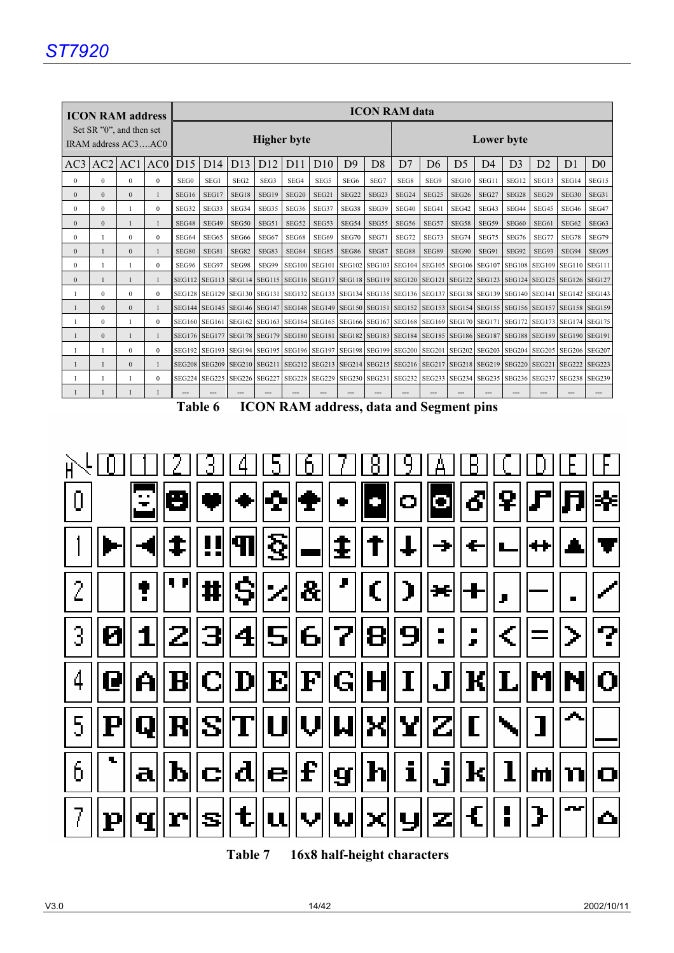|                |              | <b>ICON RAM address</b>                         |                | <b>ICON RAM data</b> |               |                  |                 |                    |       |                   |                   |                   |                |                   |                |                                                                                                                                                                                                                               |       |                |                |
|----------------|--------------|-------------------------------------------------|----------------|----------------------|---------------|------------------|-----------------|--------------------|-------|-------------------|-------------------|-------------------|----------------|-------------------|----------------|-------------------------------------------------------------------------------------------------------------------------------------------------------------------------------------------------------------------------------|-------|----------------|----------------|
|                |              | Set SR "0", and then set<br>IRAM address AC3AC0 |                |                      |               |                  |                 | <b>Higher</b> byte |       |                   | Lower byte        |                   |                |                   |                |                                                                                                                                                                                                                               |       |                |                |
| AC3            | $AC2$ $AC1$  |                                                 | AC0            | D15                  | D14           | D <sub>13</sub>  | D <sub>12</sub> | D11                | D10   | D <sup>9</sup>    | D <sub>8</sub>    | D7                | D <sub>6</sub> | D <sub>5</sub>    | D <sub>4</sub> | D <sub>3</sub>                                                                                                                                                                                                                | D2    | D <sub>1</sub> | D <sub>0</sub> |
| $\Omega$       | $\theta$     | $\theta$                                        | $\overline{0}$ | SEG0                 | SEG1          | SEG <sub>2</sub> | SEG3            | SEG4               | SEG5  | SEG <sub>6</sub>  | SEG7              | SEG8              | SEG9           | SEG10             | SEG11          | SEG12                                                                                                                                                                                                                         | SEG13 | SEG14          | SEG15          |
| $\Omega$       | $\Omega$     | $\Omega$                                        | $\mathbf{1}$   | SEG16                | SEG17         | SEG18            | SEG19           | SEG <sub>20</sub>  | SEG21 | SEG <sub>22</sub> | SEG <sub>23</sub> | SEG <sub>24</sub> | SEG25          | SEG <sub>26</sub> | SEG27          | SEG28                                                                                                                                                                                                                         | SEG29 | SEG30          | SEG31          |
| $\Omega$       | $\Omega$     | $\mathbf{1}$                                    | $\Omega$       | SEG32                | SEG33         | SEG34            | SEG35           | SEG36              | SEG37 | SEG38             | SEG39             | SEG40             | SEG41          | SEG42             | SEG43          | SEG44                                                                                                                                                                                                                         | SEG45 | SEG46          | SEG47          |
| $\overline{0}$ | $\Omega$     | $\mathbf{1}$                                    | $\mathbf{1}$   | SEG48                | SEG49         | SEG50            | SEG51           | SEG52              | SEG53 | SEG54             | SEG55             | SEG56             | SEG57          | SEG58             | SEG59          | SEG60                                                                                                                                                                                                                         | SEG61 | SEG62          | SEG63          |
| $\Omega$       | -1           | $\Omega$                                        | $\Omega$       | SEG64                | SEG65         | SEG66            | SEG67           | SEG68              | SEG69 | SEG70             | SEG71             | SEG72             | SEG73          | SEG74             | SEG75          | SEG76                                                                                                                                                                                                                         | SEG77 | SEG78          | SEG79          |
| $\Omega$       |              | $\Omega$                                        | $\mathbf{1}$   | SEG80                | SEG81         | SEG82            | SEG83           | SEG84              | SEG85 | SEG86             | SEG87             | SEG88             | SEG89          | SEG90             | SEG91          | SEG92                                                                                                                                                                                                                         | SEG93 | SEG94          | SEG95          |
| $\Omega$       |              |                                                 | $\Omega$       | SEG96                | SEG97         | SEG98            | SEG99           |                    |       |                   |                   |                   |                |                   |                | SEG100   SEG101   SEG102   SEG103   SEG104   SEG105   SEG106   SEG107   SEG108   SEG109   SEG110   SEG111                                                                                                                     |       |                |                |
| $\Omega$       |              | $\mathbf{1}$                                    | $\mathbf{1}$   | <b>SEG112</b>        | <b>SEG113</b> |                  |                 |                    |       |                   |                   |                   |                |                   |                | SEG114 SEG115 SEG116 SEG117 SEG118 SEG119 SEG120 SEG121 SEG122 SEG123 SEG124 SEG125 SEG126 SEG127                                                                                                                             |       |                |                |
|                | $\Omega$     | $\theta$                                        | $\Omega$       |                      |               |                  |                 |                    |       |                   |                   |                   |                |                   |                | SEG128   SEG129   SEG130   SEG131   SEG132   SEG133   SEG134   SEG135   SEG136   SEG137   SEG138   SEG139   SEG140   SEG141   SEG142   SEG143                                                                                 |       |                |                |
|                | $\Omega$     | $\Omega$                                        |                |                      |               |                  |                 |                    |       |                   |                   |                   |                |                   |                | SEG144 SEG145 SEG146 SEG147 SEG148 SEG149 SEG150 SEG151 SEG152 SEG153 SEG154 SEG155 SEG156 SEG157 SEG158 SEG159                                                                                                               |       |                |                |
|                | $\Omega$     |                                                 | $\Omega$       |                      |               |                  |                 |                    |       |                   |                   |                   |                |                   |                | SEG160   SEG161   SEG162   SEG163   SEG164   SEG165   SEG166   SEG167   SEG168   SEG169   SEG170   SEG171   SEG172   SEG173   SEG174   SEG175                                                                                 |       |                |                |
|                | $\Omega$     | $\mathbf{1}$                                    | $\mathbf{1}$   |                      |               |                  |                 |                    |       |                   |                   |                   |                |                   |                | SEG176 SEG177 SEG178 SEG179 SEG180 SEG181 SEG182 SEG183 SEG184 SEG185 SEG186 SEG187 SEG188 SEG189 SEG190 SEG191                                                                                                               |       |                |                |
|                | $\mathbf{1}$ | $\theta$                                        | $\Omega$       | <b>SEG192</b>        |               |                  |                 |                    |       |                   |                   |                   |                |                   |                | SEG193   SEG194   SEG195   SEG196   SEG197   SEG198   SEG199   SEG200   SEG201   SEG202   SEG203   SEG204   SEG205   SEG206   SEG207                                                                                          |       |                |                |
|                |              | $\Omega$                                        |                | <b>SEG208</b>        | <b>SEG209</b> |                  |                 |                    |       |                   |                   |                   |                |                   |                | SEG210 SEG211 SEG212 SEG213 SEG214 SEG215 SEG216 SEG217 SEG218 SEG219 SEG220 SEG221 SEG222 SEG223 SEG223 SEG223 SEG223 SEG223 SEG223 SEG222 SEG223 SEG223 SEG223 SEG223 SEG223 SEG223 SEG223 SEG223 SEG223 SEG223 SEG223 SEG2 |       |                |                |
|                |              |                                                 | $\Omega$       |                      |               |                  |                 |                    |       |                   |                   |                   |                |                   |                | SEG224   SEG225   SEG226   SEG227   SEG228   SEG229   SEG230   SEG231   SEG232   SEG233   SEG234   SEG235   SEG236   SEG237   SEG238   SEG238   SEG238   SEG238   SEG238   SEG238   SEG238   SEG238   SEG239   SEG239   SEG2  |       |                |                |
|                |              |                                                 |                |                      |               |                  |                 |                    |       |                   |                   |                   |                |                   |                |                                                                                                                                                                                                                               |       |                |                |





**Table 7 16x8 half-height characters**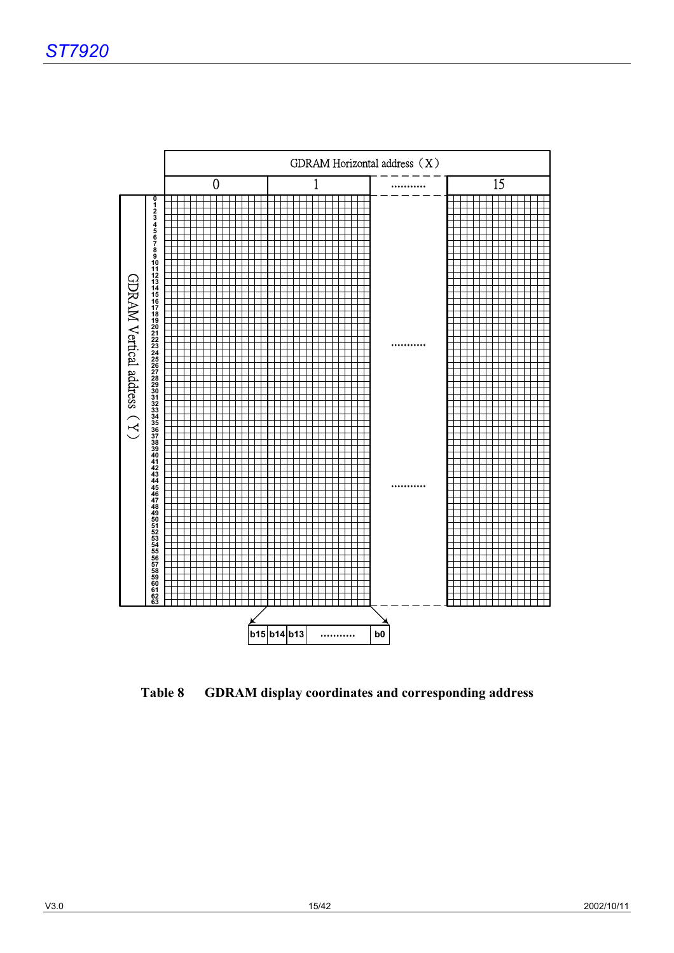

**Table 8 GDRAM display coordinates and corresponding address**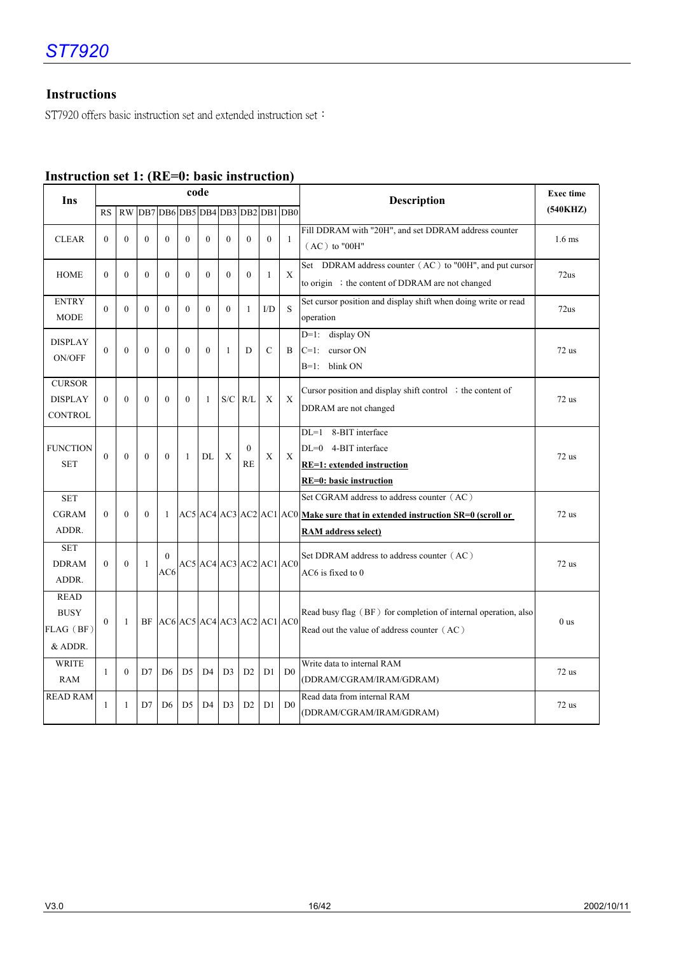## **Instructions**

ST7920 offers basic instruction set and extended instruction set:

| Ins                                                      |           |                  |              |                                 | code           |                |                |                         |                |                | <b>Exec time</b><br><b>Description</b>                                                                                                                                       |                 |  |  |  |  |  |
|----------------------------------------------------------|-----------|------------------|--------------|---------------------------------|----------------|----------------|----------------|-------------------------|----------------|----------------|------------------------------------------------------------------------------------------------------------------------------------------------------------------------------|-----------------|--|--|--|--|--|
|                                                          | <b>RS</b> | <b>RW</b>        |              | DB7 DB6 DB5 DB4 DB3 DB2 DB1 DB0 |                |                |                |                         |                |                |                                                                                                                                                                              | (540KHZ)        |  |  |  |  |  |
| <b>CLEAR</b>                                             | $\theta$  | $\theta$         | $\theta$     | $\theta$                        | $\theta$       | $\theta$       | $\theta$       | $\theta$                | $\mathbf{0}$   | $\mathbf{1}$   | Fill DDRAM with "20H", and set DDRAM address counter<br>$(AC)$ to "00H"                                                                                                      | $1.6$ ms        |  |  |  |  |  |
| <b>HOME</b>                                              | $\Omega$  | $\boldsymbol{0}$ | $\mathbf{0}$ | $\theta$                        | $\theta$       | $\overline{0}$ | $\mathbf{0}$   | $\theta$                | $\mathbf{1}$   | X              | Set DDRAM address counter (AC) to "00H", and put cursor<br>to origin ; the content of DDRAM are not changed                                                                  | 72us            |  |  |  |  |  |
| <b>ENTRY</b><br><b>MODE</b>                              | $\Omega$  | $\Omega$         | $\theta$     | $\Omega$                        | $\Omega$       | $\Omega$       | $\Omega$       | 1                       | I/D            | S              | Set cursor position and display shift when doing write or read<br>operation                                                                                                  | 72us            |  |  |  |  |  |
| <b>DISPLAY</b><br>ON/OFF                                 | $\theta$  | $\theta$         | $\theta$     | $\Omega$                        | $\Omega$       | $\Omega$       | $\mathbf{1}$   | D                       | $\mathcal{C}$  | B              | display ON<br>$D=1$ :<br>cursor ON<br>$C=1$ :<br>$B=1$ : blink ON                                                                                                            | $72$ us         |  |  |  |  |  |
| <b>CURSOR</b><br><b>DISPLAY</b><br><b>CONTROL</b>        | $\Omega$  | $\theta$         | $\theta$     | $\Omega$                        | $\theta$       | $\mathbf{1}$   | S/C            | R/L                     | X              | X              | Cursor position and display shift control $\cdot$ the content of<br>DDRAM are not changed                                                                                    | $72$ us         |  |  |  |  |  |
| <b>FUNCTION</b><br><b>SET</b>                            | $\theta$  | $\theta$         | $\mathbf{0}$ | $\mathbf{0}$                    | $\mathbf{1}$   | DL             | X              | $\theta$<br><b>RE</b>   | X              | X              | 8-BIT interface<br>$DL=1$<br>$DL=0$ 4-BIT interface<br><b>RE=1:</b> extended instruction<br>RE=0: basic instruction                                                          | $72$ us         |  |  |  |  |  |
| <b>SET</b><br><b>CGRAM</b><br>ADDR.                      | $\Omega$  | $\theta$         | $\theta$     | 1                               |                |                |                |                         |                |                | Set CGRAM address to address counter (AC)<br>AC5   AC4   AC3   AC2   AC1   AC0   <u>Make sure that in extended instruction SR=0 (scroll or</u><br><b>RAM</b> address select) | $72$ us         |  |  |  |  |  |
| <b>SET</b><br><b>DDRAM</b><br>ADDR.                      | $\Omega$  | $\Omega$         | 1            | $\Omega$<br>AC6                 |                |                |                | AC5 AC4 AC3 AC2 AC1 AC0 |                |                | Set DDRAM address to address counter (AC)<br>AC6 is fixed to 0                                                                                                               | $72$ us         |  |  |  |  |  |
| <b>READ</b><br><b>BUSY</b><br>$FLAG$ ( $BF$ )<br>& ADDR. | $\Omega$  | $\mathbf{1}$     |              | BF AC6 AC5 AC4 AC3 AC2 AC1 AC0  |                |                |                |                         |                |                | Read busy flag (BF) for completion of internal operation, also<br>Read out the value of address counter (AC)                                                                 | 0 <sub>us</sub> |  |  |  |  |  |
| <b>WRITE</b><br><b>RAM</b>                               | 1         | $\theta$         | D7           | D <sub>6</sub>                  | D <sub>5</sub> | D <sub>4</sub> | D <sub>3</sub> | D2                      | D <sub>1</sub> | D <sub>0</sub> | Write data to internal RAM<br>(DDRAM/CGRAM/IRAM/GDRAM)                                                                                                                       | $72$ us         |  |  |  |  |  |
| <b>READ RAM</b>                                          | 1         | 1                | D7           | D <sub>6</sub>                  | D <sub>5</sub> | D <sub>4</sub> | D <sub>3</sub> | D2                      | D1             | D <sub>0</sub> | Read data from internal RAM<br>(DDRAM/CGRAM/IRAM/GDRAM)                                                                                                                      | $72$ us         |  |  |  |  |  |

## **Instruction set 1: (RE=0: basic instruction)**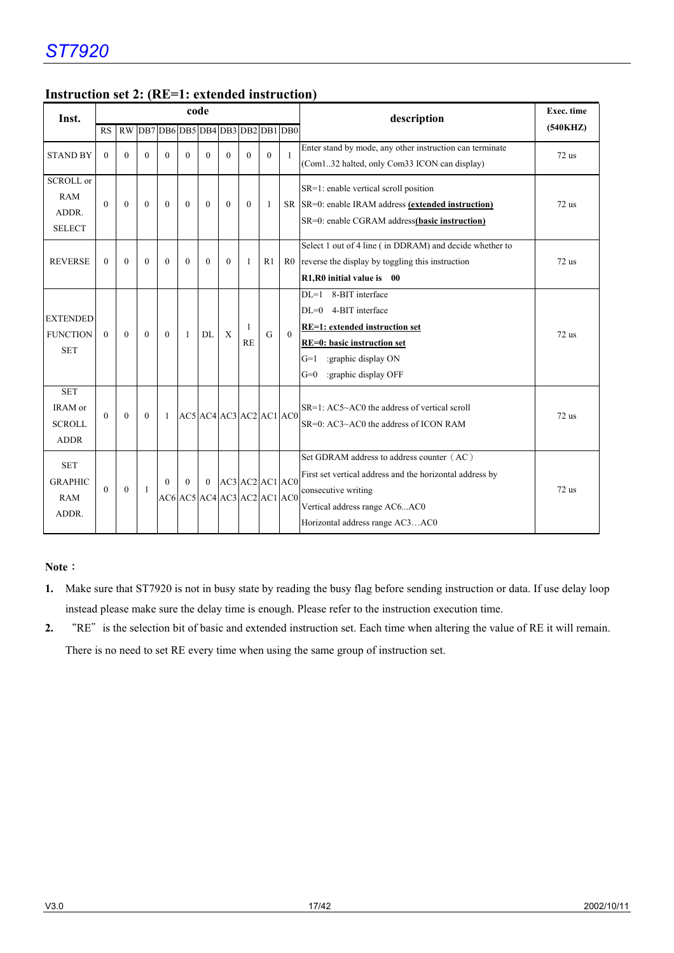| Inst.                                                    |           |              |          |                                 |              | code           |              |                                                                      |                |          | description                                                                                                                                                                                         | Exec. time |
|----------------------------------------------------------|-----------|--------------|----------|---------------------------------|--------------|----------------|--------------|----------------------------------------------------------------------|----------------|----------|-----------------------------------------------------------------------------------------------------------------------------------------------------------------------------------------------------|------------|
|                                                          | <b>RS</b> | <b>RW</b>    |          | DB7 DB6 DB5 DB4 DB3 DB2 DB1 DB0 |              |                |              |                                                                      |                |          |                                                                                                                                                                                                     | (540KHZ)   |
| <b>STAND BY</b>                                          | $\theta$  | $\theta$     | $\theta$ | $\theta$                        | $\theta$     | $\theta$       | $\theta$     | $\theta$                                                             | $\theta$       | 1        | Enter stand by mode, any other instruction can terminate<br>(Com132 halted, only Com33 ICON can display)                                                                                            | $72$ us    |
| <b>SCROLL</b> or<br><b>RAM</b><br>ADDR.<br><b>SELECT</b> | $\Omega$  | $\theta$     | $\Omega$ | $\Omega$                        | $\theta$     | $\theta$       | $\mathbf{0}$ | $\Omega$                                                             | $\mathbf{1}$   |          | SR=1: enable vertical scroll position<br>SR SR=0: enable IRAM address (extended instruction)<br>SR=0: enable CGRAM address(basic instruction)                                                       | $72$ us    |
| <b>REVERSE</b>                                           | $\theta$  | $\theta$     | $\theta$ | $\theta$                        | $\theta$     | $\mathbf{0}$   | $\mathbf{0}$ | 1                                                                    | R <sub>1</sub> |          | Select 1 out of 4 line (in DDRAM) and decide whether to<br>R0 reverse the display by toggling this instruction<br>R1, R0 initial value is 00                                                        | $72$ us    |
| <b>EXTENDED</b><br><b>FUNCTION</b><br><b>SET</b>         | $\Omega$  | $\theta$     | $\theta$ | $\theta$                        | $\mathbf{1}$ | DL             | $\mathbf{X}$ | 1<br>RE                                                              | G              | $\Omega$ | 8-BIT interface<br>$DI = 1$<br>4-BIT interface<br>$DI = 0$<br><b>RE=1:</b> extended instruction set<br>RE=0: basic instruction set<br>$G=1$<br>:graphic display ON<br>:graphic display OFF<br>$G=0$ | $72$ us    |
| <b>SET</b><br>IRAM or<br><b>SCROLL</b><br><b>ADDR</b>    | $\Omega$  | $\Omega$     | $\Omega$ | $\mathbf{1}$                    |              |                |              | $AC5$ $AC4$ $AC3$ $AC2$ $AC1$ $AC0$                                  |                |          | $SR=1$ : $AC5~AC0$ the address of vertical scroll<br>$SR=0$ : $AC3 \sim AC0$ the address of ICON RAM                                                                                                | $72$ us    |
| <b>SET</b><br><b>GRAPHIC</b><br><b>RAM</b><br>ADDR.      | $\theta$  | $\mathbf{0}$ | 1        | $\Omega$                        | $\theta$     | $\overline{0}$ |              | $AC3$ $AC2$ $AC1$ $AC0$<br>$AC6$ $AC5$ $AC4$ $AC3$ $AC2$ $AC1$ $AC0$ |                |          | Set GDRAM address to address counter (AC)<br>First set vertical address and the horizontal address by<br>consecutive writing<br>Vertical address range AC6AC0<br>Horizontal address range AC3AC0    | $72$ us    |

## **Instruction set 2: (RE=1: extended instruction)**

#### **Note**:

- **1.** Make sure that ST7920 is not in busy state by reading the busy flag before sending instruction or data. If use delay loop instead please make sure the delay time is enough. Please refer to the instruction execution time.
- 2. "RE" is the selection bit of basic and extended instruction set. Each time when altering the value of RE it will remain. There is no need to set RE every time when using the same group of instruction set.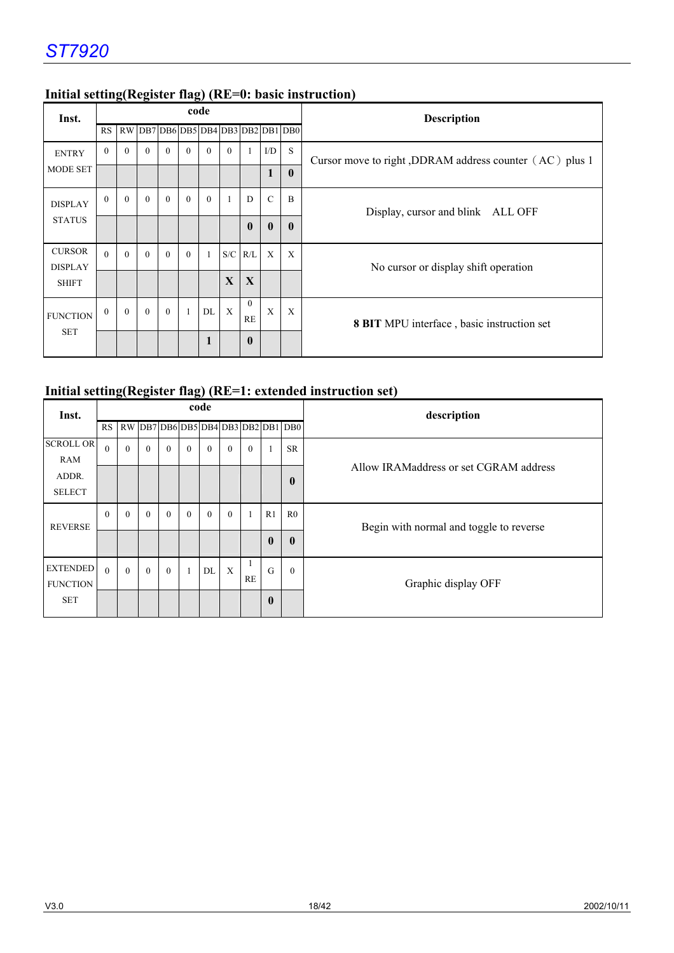| Inst.                           |          |          |          |              |                                                                                                            | code         |              |                |               |              | Description                                             |
|---------------------------------|----------|----------|----------|--------------|------------------------------------------------------------------------------------------------------------|--------------|--------------|----------------|---------------|--------------|---------------------------------------------------------|
|                                 | RS       |          |          |              | $\vert$ RW $\vert$ DB7 $\vert$ DB6 $\vert$ DB5 $\vert$ DB4 $\vert$ DB3 $\vert$ DB2 $\vert$ DB1 $\vert$ DB0 |              |              |                |               |              |                                                         |
| <b>ENTRY</b>                    | $\theta$ | $\Omega$ | $\Omega$ | $\theta$     | $\theta$                                                                                                   | $\theta$     | $\theta$     |                | I/D           | S            | Cursor move to right, DDRAM address counter (AC) plus 1 |
| <b>MODE SET</b>                 |          |          |          |              |                                                                                                            |              |              |                | $\mathbf{1}$  | $\mathbf{0}$ |                                                         |
| <b>DISPLAY</b>                  | $\theta$ | $\theta$ | $\Omega$ | $\theta$     | $\theta$                                                                                                   | $\theta$     |              | D              | $\mathcal{C}$ | $\mathbf{B}$ | Display, cursor and blink ALL OFF                       |
| <b>STATUS</b>                   |          |          |          |              |                                                                                                            |              |              | $\mathbf{0}$   | $\bf{0}$      | $\mathbf{0}$ |                                                         |
| <b>CURSOR</b><br><b>DISPLAY</b> | $\Omega$ | $\Omega$ | $\Omega$ | $\theta$     | $\theta$                                                                                                   | $\mathbf{1}$ |              | $S/C$ R/L      | $\mathbf{x}$  | X            | No cursor or display shift operation                    |
| <b>SHIFT</b>                    |          |          |          |              |                                                                                                            |              | $\mathbf{X}$ | X              |               |              |                                                         |
| <b>FUNCTION</b>                 | $\theta$ | $\theta$ | $\theta$ | $\mathbf{0}$ | $\mathbf{1}$                                                                                               | DL           | X            | $\theta$<br>RE | X             | X            | <b>8 BIT</b> MPU interface, basic instruction set       |
| <b>SET</b>                      |          |          |          |              |                                                                                                            | $\mathbf{1}$ |              | $\mathbf{0}$   |               |              |                                                         |

## **Initial setting(Register flag) (RE=0: basic instruction)**

## **Initial setting(Register flag) (RE=1: extended instruction set)**

| Inst.                              |              |              |              |          |          | code         |              |          |                  |                                    | description                             |  |  |  |
|------------------------------------|--------------|--------------|--------------|----------|----------|--------------|--------------|----------|------------------|------------------------------------|-----------------------------------------|--|--|--|
|                                    | RS           |              |              |          |          |              |              |          |                  | RW DB7 DB6 DB5 DB4 DB3 DB2 DB1 DB0 |                                         |  |  |  |
| <b>SCROLL OR</b>                   | $\theta$     | $\theta$     | $\theta$     | $\theta$ | $\theta$ | $\theta$     | $\theta$     | $\theta$ |                  | <b>SR</b>                          |                                         |  |  |  |
| <b>RAM</b>                         |              |              |              |          |          |              |              |          |                  |                                    | Allow IRAMaddress or set CGRAM address  |  |  |  |
| ADDR.                              |              |              |              |          |          |              |              |          |                  | $\bf{0}$                           |                                         |  |  |  |
| <b>SELECT</b>                      |              |              |              |          |          |              |              |          |                  |                                    |                                         |  |  |  |
| <b>REVERSE</b>                     | $\mathbf{0}$ | $\mathbf{0}$ | $\mathbf{0}$ | $\theta$ | $\theta$ | $\mathbf{0}$ | $\theta$     |          | R <sub>1</sub>   | R <sub>0</sub>                     | Begin with normal and toggle to reverse |  |  |  |
|                                    |              |              |              |          |          |              |              |          | $\boldsymbol{0}$ | $\mathbf{0}$                       |                                         |  |  |  |
| <b>EXTENDED</b><br><b>FUNCTION</b> | $\theta$     | $\Omega$     | $\theta$     | $\theta$ |          | DL           | $\mathbf{X}$ | RE       | G                | $\theta$                           | Graphic display OFF                     |  |  |  |
| <b>SET</b>                         |              |              |              |          |          |              |              |          | $\boldsymbol{0}$ |                                    |                                         |  |  |  |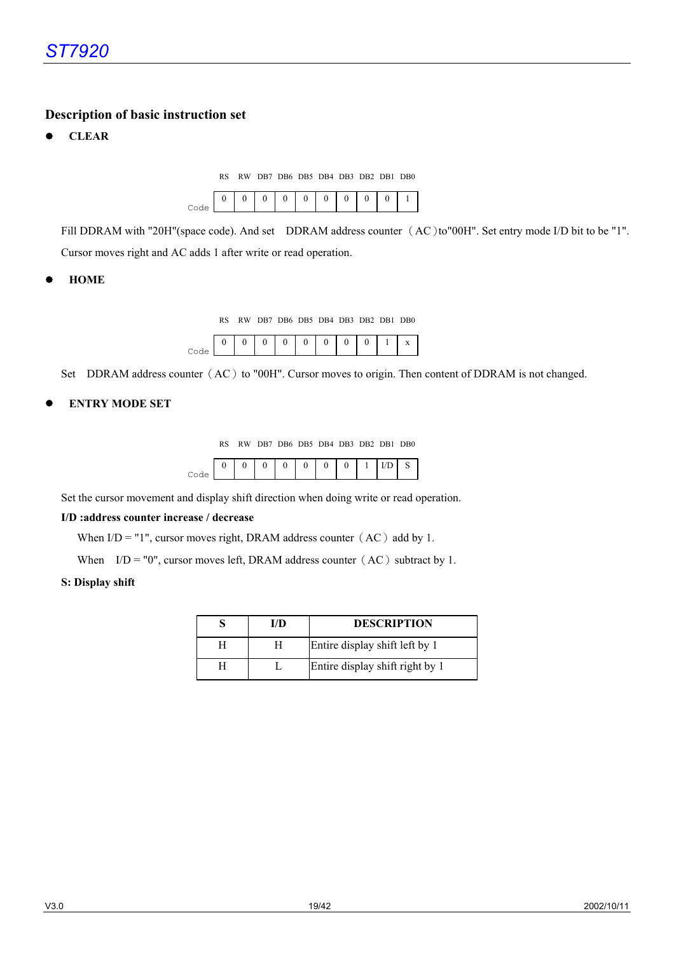#### **Description of basic instruction set**

z **CLEAR** 

RS RW DB7 DB6 DB5 DB4 DB3 DB2 DB1 DB0



Fill DDRAM with "20H"(space code). And set DDRAM address counter (AC)to"00H". Set entry mode I/D bit to be "1". Cursor moves right and AC adds 1 after write or read operation.

z **HOME** 

RS RW DB7 DB6 DB5 DB4 DB3 DB2 DB1 DB0

|  |  |  |  |  | 48 |
|--|--|--|--|--|----|
|  |  |  |  |  |    |

Set DDRAM address counter (AC) to "00H". Cursor moves to origin. Then content of DDRAM is not changed.

#### z **ENTRY MODE SET**

RS RW DB7 DB6 DB5 DB4 DB3 DB2 DB1 DB0

Set the cursor movement and display shift direction when doing write or read operation.

#### **I/D :address counter increase / decrease**

When  $I/D = "1",$  cursor moves right, DRAM address counter (AC) add by 1.

When  $I/D = "0"$ , cursor moves left, DRAM address counter (AC) subtract by 1.

#### **S: Display shift**

| I/D | <b>DESCRIPTION</b>              |
|-----|---------------------------------|
|     | Entire display shift left by 1  |
|     | Entire display shift right by 1 |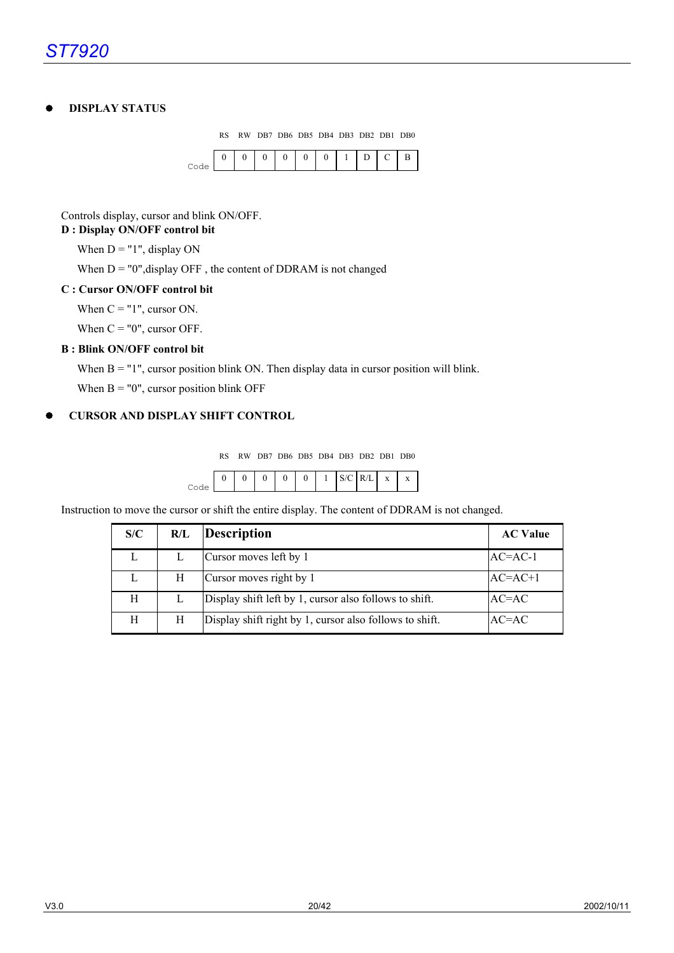#### z **DISPLAY STATUS**

RS RW DB7 DB6 DB5 DB4 DB3 DB2 DB1 DB0



#### Controls display, cursor and blink ON/OFF.

#### **D : Display ON/OFF control bit**

When  $D = "1"$ , display ON

When  $D = "0"$ , display OFF, the content of DDRAM is not changed

#### **C : Cursor ON/OFF control bit**

When  $C = "1",$  cursor ON.

When  $C = "0"$ , cursor OFF.

#### **B : Blink ON/OFF control bit**

When B = "1", cursor position blink ON. Then display data in cursor position will blink.

When  $B = "0"$ , cursor position blink OFF

#### z **CURSOR AND DISPLAY SHIFT CONTROL**

RS RW DB7 DB6 DB5 DB4 DB3 DB2 DB1 DB0

|  |  | $\overline{0}$ |  | IS/CIR/LIX I X |  |
|--|--|----------------|--|----------------|--|
|  |  |                |  |                |  |

Instruction to move the cursor or shift the entire display. The content of DDRAM is not changed.

| S/C | R/L | Description                                             | <b>AC Value</b> |
|-----|-----|---------------------------------------------------------|-----------------|
| L   |     | Cursor moves left by 1                                  | $AC=AC-1$       |
| L   | H   | Cursor moves right by 1                                 | $AC=AC+1$       |
| Н   |     | Display shift left by 1, cursor also follows to shift.  | $AC=AC$         |
| H   | Н   | Display shift right by 1, cursor also follows to shift. | $AC=AC$         |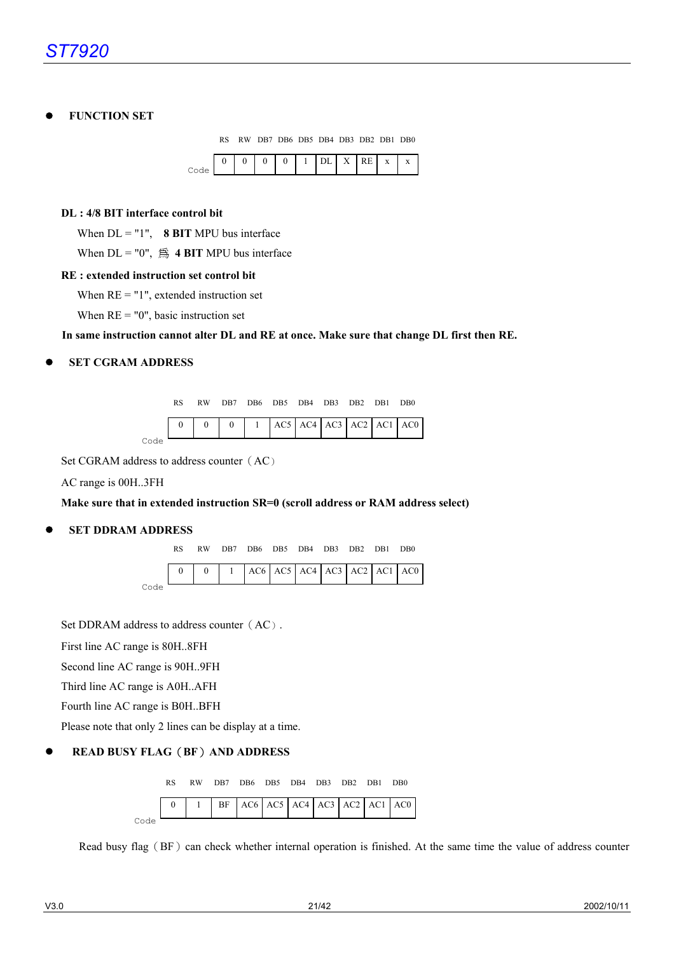#### z **FUNCTION SET**

RS RW DB7 DB6 DB5 DB4 DB3 DB2 DB1 DB0

| $0$   1   DL   X   RE   x   x<br>0 <sup>1</sup><br>$\Omega$ |  |  |
|-------------------------------------------------------------|--|--|
|-------------------------------------------------------------|--|--|

#### **DL : 4/8 BIT interface control bit**

When  $DL = "1"$ , **8 BIT** MPU bus interface

When  $DL = "0"$ , 爲 4 **BIT** MPU bus interface

#### **RE : extended instruction set control bit**

When  $RE = "1"$ , extended instruction set

When  $RE = "0"$ , basic instruction set

**In same instruction cannot alter DL and RE at once. Make sure that change DL first then RE.** 

#### z **SET CGRAM ADDRESS**

|      |  |  | RW DB7 DB6 DB5 DB4 DB3 DB2 DB1 DB0 |  |  |                                                                                                                                                     |
|------|--|--|------------------------------------|--|--|-----------------------------------------------------------------------------------------------------------------------------------------------------|
|      |  |  |                                    |  |  | $\begin{bmatrix} 0 & 0 & 0 \end{bmatrix}$ $\begin{bmatrix} 0 & 1 & 1 \end{bmatrix}$ AC5 $\begin{bmatrix} AC4 & AC3 & AC2 & AC1 & AC0 \end{bmatrix}$ |
| Code |  |  |                                    |  |  |                                                                                                                                                     |

Set CGRAM address to address counter (AC)

AC range is 00H..3FH

#### **Make sure that in extended instruction SR=0 (scroll address or RAM address select)**

#### **SET DDRAM ADDRESS**

|      |  | RW DB7 DB6 DB5 DB4 DB3 DB2 DB1 DB0 |  |  |                                                                                    |
|------|--|------------------------------------|--|--|------------------------------------------------------------------------------------|
|      |  |                                    |  |  | $\begin{bmatrix} 0 & 0 & 1 \\ 0 & 0 & 1 \end{bmatrix}$ AC6 AC5 AC4 AC3 AC2 AC1 AC0 |
| Code |  |                                    |  |  |                                                                                    |

Set DDRAM address to address counter (AC).

First line AC range is 80H..8FH

Second line AC range is 90H..9FH

Third line AC range is A0H..AFH

Fourth line AC range is B0H..BFH

Please note that only 2 lines can be display at a time.

#### z **READ BUSY FLAG**(**BF**)**AND ADDRESS**



Read busy flag (BF) can check whether internal operation is finished. At the same time the value of address counter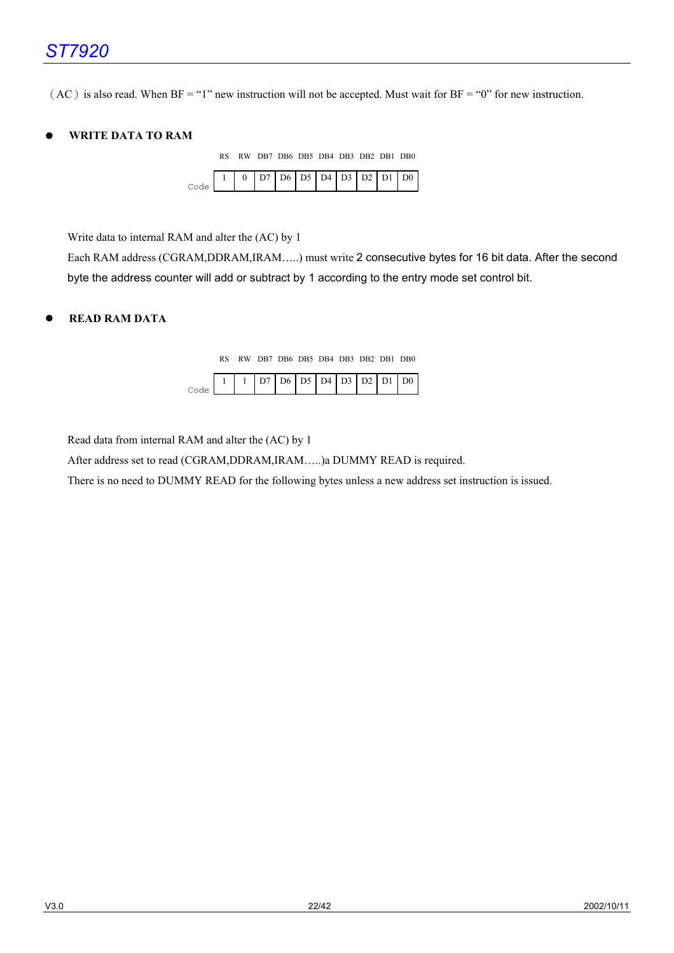$(AC)$  is also read. When BF = "1" new instruction will not be accepted. Must wait for BF = "0" for new instruction.

#### z **WRITE DATA TO RAM**

|  |  | RS RW DB7 DB6 DB5 DB4 DB3 DB2 DB1 DB0 |  |  |  |
|--|--|---------------------------------------|--|--|--|
|  |  |                                       |  |  |  |

Write data to internal RAM and alter the (AC) by 1

Each RAM address (CGRAM,DDRAM,IRAM…..) must write 2 consecutive bytes for 16 bit data. After the second byte the address counter will add or subtract by 1 according to the entry mode set control bit.

#### z **READ RAM DATA**

RS RW DB7 DB6 DB5 DB4 DB3 DB2 DB1 DB0

|  |  |  |  | $1   D7   D6   D5   D4   D3   D2   D1   D0$ |  |
|--|--|--|--|---------------------------------------------|--|
|  |  |  |  |                                             |  |

Read data from internal RAM and alter the (AC) by 1

After address set to read (CGRAM,DDRAM,IRAM…..)a DUMMY READ is required.

There is no need to DUMMY READ for the following bytes unless a new address set instruction is issued.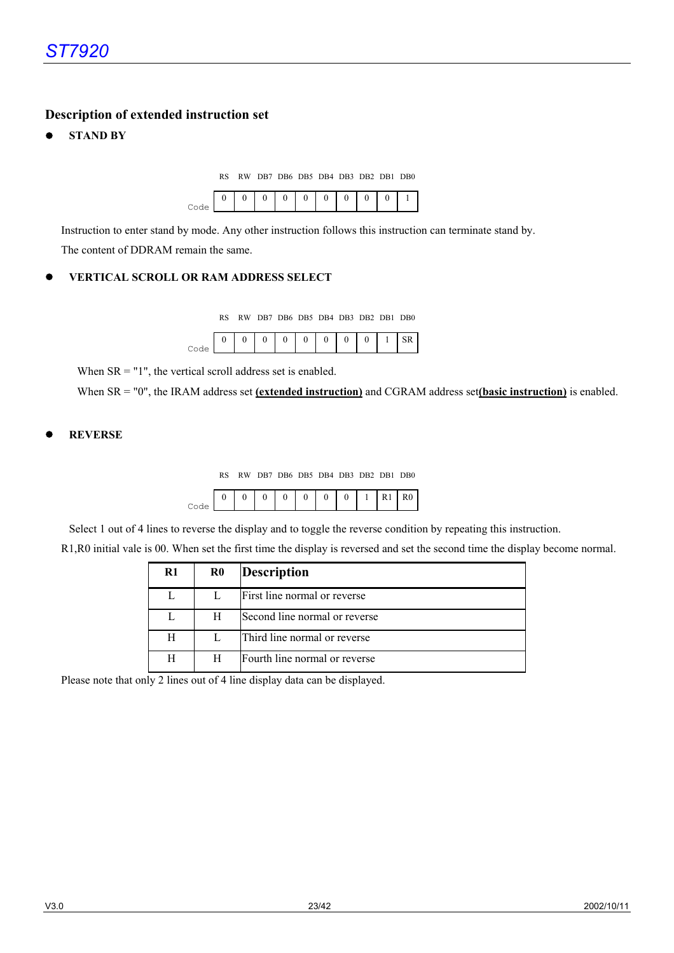## **Description of extended instruction set**

**STAND BY** 

RS RW DB7 DB6 DB5 DB4 DB3 DB2 DB1 DB0



Instruction to enter stand by mode. Any other instruction follows this instruction can terminate stand by. The content of DDRAM remain the same.

#### z **VERTICAL SCROLL OR RAM ADDRESS SELECT**

RS RW DB7 DB6 DB5 DB4 DB3 DB2 DB1 DB0

|  |  | $\Omega$ |  | $^{\circ}$ |  |
|--|--|----------|--|------------|--|
|  |  |          |  |            |  |

When  $SR = "1"$ , the vertical scroll address set is enabled.

When SR = "0", the IRAM address set **(extended instruction)** and CGRAM address set**(basic instruction)** is enabled.

#### z **REVERSE**

RS RW DB7 DB6 DB5 DB4 DB3 DB2 DB1 DB0



Select 1 out of 4 lines to reverse the display and to toggle the reverse condition by repeating this instruction.

R1,R0 initial vale is 00. When set the first time the display is reversed and set the second time the display become normal.

| $\mathbf{R}1$ | $\bf R0$ | <b>Description</b>            |
|---------------|----------|-------------------------------|
|               |          | First line normal or reverse  |
|               | H        | Second line normal or reverse |
| H             |          | Third line normal or reverse  |
| Н             | H        | Fourth line normal or reverse |

Please note that only 2 lines out of 4 line display data can be displayed.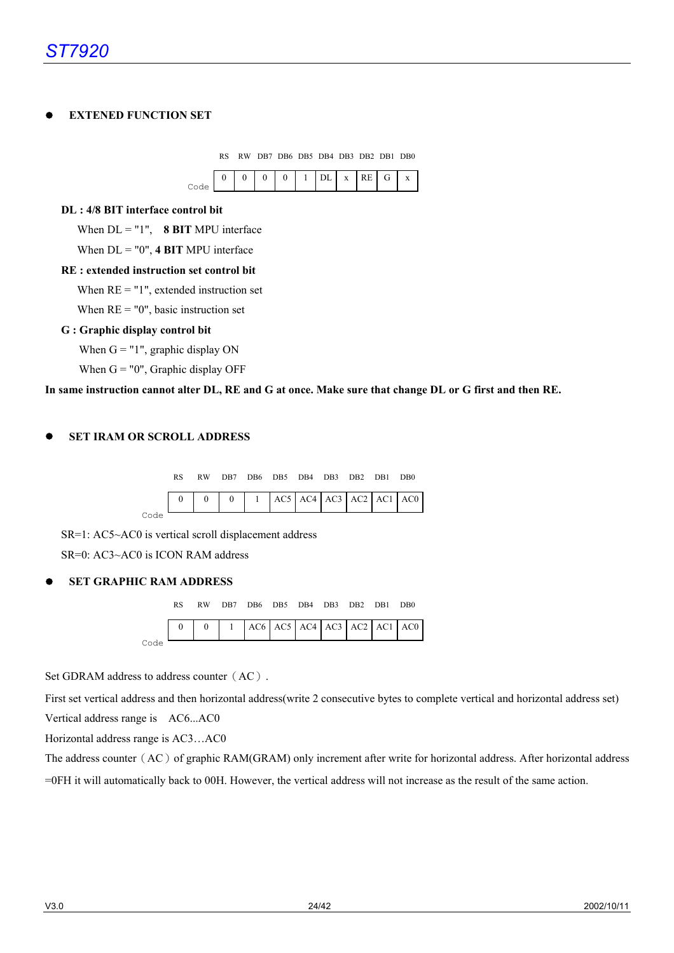#### z **EXTENED FUNCTION SET**



When  $RE = "0"$ , basic instruction set

#### **G : Graphic display control bit**

When  $G = "1"$ , graphic display ON

When  $G = "0"$ , Graphic display OFF

#### **In same instruction cannot alter DL, RE and G at once. Make sure that change DL or G first and then RE.**

#### **SET IRAM OR SCROLL ADDRESS**



SR=1: AC5~AC0 is vertical scroll displacement address SR=0: AC3~AC0 is ICON RAM address

#### **SET GRAPHIC RAM ADDRESS**



Set GDRAM address to address counter (AC).

First set vertical address and then horizontal address(write 2 consecutive bytes to complete vertical and horizontal address set) Vertical address range is AC6...AC0

Horizontal address range is AC3…AC0

The address counter (AC) of graphic RAM(GRAM) only increment after write for horizontal address. After horizontal address =0FH it will automatically back to 00H. However, the vertical address will not increase as the result of the same action.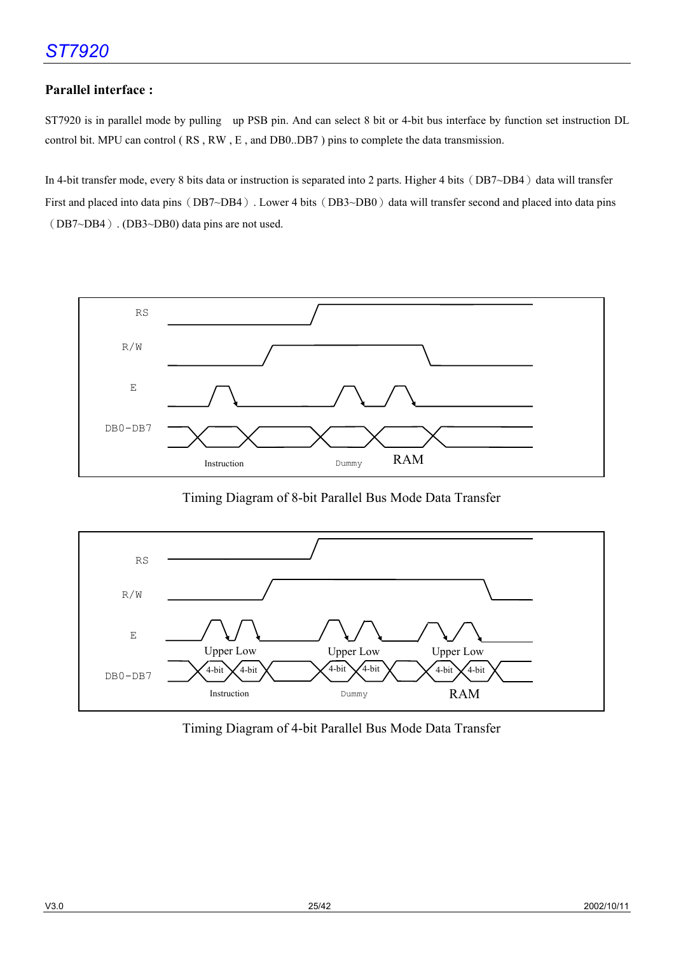## **Parallel interface :**

ST7920 is in parallel mode by pulling up PSB pin. And can select 8 bit or 4-bit bus interface by function set instruction DL control bit. MPU can control ( RS , RW , E , and DB0..DB7 ) pins to complete the data transmission.

In 4-bit transfer mode, every 8 bits data or instruction is separated into 2 parts. Higher 4 bits (DB7~DB4) data will transfer First and placed into data pins (DB7~DB4). Lower 4 bits (DB3~DB0) data will transfer second and placed into data pins (DB7~DB4). (DB3~DB0) data pins are not used.



Timing Diagram of 8-bit Parallel Bus Mode Data Transfer



Timing Diagram of 4-bit Parallel Bus Mode Data Transfer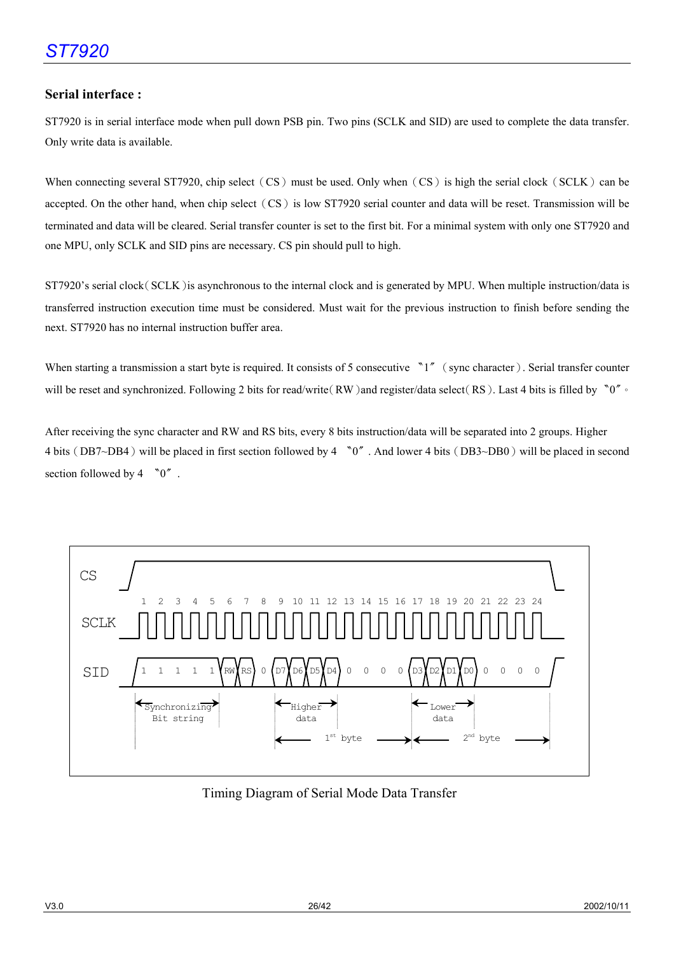#### **Serial interface :**

ST7920 is in serial interface mode when pull down PSB pin. Two pins (SCLK and SID) are used to complete the data transfer. Only write data is available.

When connecting several ST7920, chip select (CS) must be used. Only when (CS) is high the serial clock (SCLK) can be accepted. On the other hand, when chip select (CS) is low ST7920 serial counter and data will be reset. Transmission will be terminated and data will be cleared. Serial transfer counter is set to the first bit. For a minimal system with only one ST7920 and one MPU, only SCLK and SID pins are necessary. CS pin should pull to high.

ST7920's serial clock(SCLK)is asynchronous to the internal clock and is generated by MPU. When multiple instruction/data is transferred instruction execution time must be considered. Must wait for the previous instruction to finish before sending the next. ST7920 has no internal instruction buffer area.

When starting a transmission a start byte is required. It consists of 5 consecutive  $\gamma$ <sup>\*</sup> (sync character). Serial transfer counter will be reset and synchronized. Following 2 bits for read/write(RW)and register/data select(RS). Last 4 bits is filled by 〝0〞。

After receiving the sync character and RW and RS bits, every 8 bits instruction/data will be separated into 2 groups. Higher 4 bits (DB7~DB4) will be placed in first section followed by 4 <sup>No</sup><sup>\*</sup>. And lower 4 bits (DB3~DB0) will be placed in second section followed by  $4 \sqrt{0}$ .



Timing Diagram of Serial Mode Data Transfer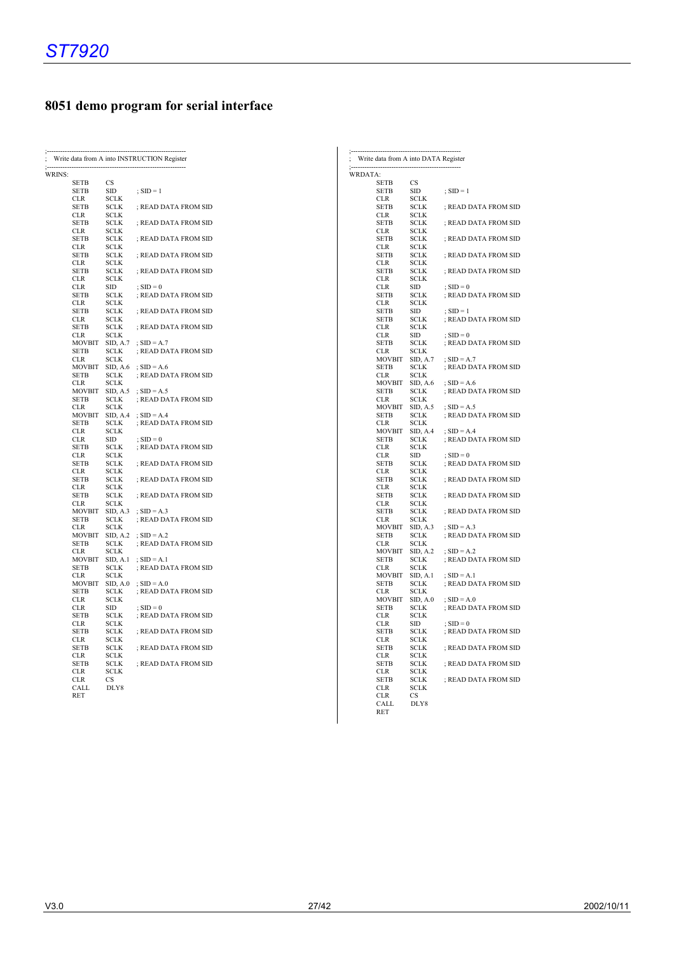## **8051 demo program for serial interface**

| WRINS:<br><b>SETB</b><br><b>CS</b><br>SID<br>SETB<br>$SD = 1$<br>CLR<br>SCLK<br>SETB<br>SCLK<br>; READ DATA FROM SID<br>CLR<br>SCLK<br><b>SETB</b><br>SCLK<br>; READ DATA FROM SID<br><b>SCLK</b><br>CLR<br>; READ DATA FROM SID<br>SETB<br>SCLK<br>CLR<br>SCLK<br>; READ DATA FROM SID<br>SETB<br>SCLK<br><b>CLR</b><br><b>SCLK</b><br><b>SETB</b><br>SCLK<br>; READ DATA FROM SID<br><b>CLR</b><br>SCLK<br>$\overline{S}$ SID = 0<br>CLR<br>SID |  |
|---------------------------------------------------------------------------------------------------------------------------------------------------------------------------------------------------------------------------------------------------------------------------------------------------------------------------------------------------------------------------------------------------------------------------------------------------|--|
|                                                                                                                                                                                                                                                                                                                                                                                                                                                   |  |
|                                                                                                                                                                                                                                                                                                                                                                                                                                                   |  |
|                                                                                                                                                                                                                                                                                                                                                                                                                                                   |  |
|                                                                                                                                                                                                                                                                                                                                                                                                                                                   |  |
|                                                                                                                                                                                                                                                                                                                                                                                                                                                   |  |
|                                                                                                                                                                                                                                                                                                                                                                                                                                                   |  |
|                                                                                                                                                                                                                                                                                                                                                                                                                                                   |  |
|                                                                                                                                                                                                                                                                                                                                                                                                                                                   |  |
|                                                                                                                                                                                                                                                                                                                                                                                                                                                   |  |
|                                                                                                                                                                                                                                                                                                                                                                                                                                                   |  |
|                                                                                                                                                                                                                                                                                                                                                                                                                                                   |  |
|                                                                                                                                                                                                                                                                                                                                                                                                                                                   |  |
| SCLK<br>; READ DATA FROM SID<br>SETB                                                                                                                                                                                                                                                                                                                                                                                                              |  |
| CLR<br>SCLK                                                                                                                                                                                                                                                                                                                                                                                                                                       |  |
| ; READ DATA FROM SID<br>SETB<br>SCLK                                                                                                                                                                                                                                                                                                                                                                                                              |  |
| <b>CLR</b><br>SCLK<br><b>SETB</b><br><b>SCLK</b><br>; READ DATA FROM SID                                                                                                                                                                                                                                                                                                                                                                          |  |
| SCLK<br>CLR                                                                                                                                                                                                                                                                                                                                                                                                                                       |  |
| MOVBIT<br>SID, A.7<br>; $SID = A.7$                                                                                                                                                                                                                                                                                                                                                                                                               |  |
| ; READ DATA FROM SID<br>SETB<br>SCLK                                                                                                                                                                                                                                                                                                                                                                                                              |  |
| <b>CLR</b><br>SCLK<br><b>MOVBIT</b><br>; $SID = A.6$<br>SID, A.6                                                                                                                                                                                                                                                                                                                                                                                  |  |
| ; READ DATA FROM SID<br>SETB<br>SCLK                                                                                                                                                                                                                                                                                                                                                                                                              |  |
| SCLK<br>CLR                                                                                                                                                                                                                                                                                                                                                                                                                                       |  |
| <b>MOVBIT</b><br>SID, A.5<br>; $SID = A.5$                                                                                                                                                                                                                                                                                                                                                                                                        |  |
| SCLK<br>; READ DATA FROM SID<br>SETB<br><b>CLR</b><br>SCLK                                                                                                                                                                                                                                                                                                                                                                                        |  |
| MOVBIT<br>SID, A.4<br>$SD = A.4$                                                                                                                                                                                                                                                                                                                                                                                                                  |  |
| SCLK<br><b>SETB</b><br>; READ DATA FROM SID                                                                                                                                                                                                                                                                                                                                                                                                       |  |
| <b>CLR</b><br>SCLK                                                                                                                                                                                                                                                                                                                                                                                                                                |  |
| <b>CLR</b><br><b>SID</b><br>; $SID = 0$<br>SETB<br>SCLK<br>; READ DATA FROM SID                                                                                                                                                                                                                                                                                                                                                                   |  |
| SCLK<br>CLR.                                                                                                                                                                                                                                                                                                                                                                                                                                      |  |
| <b>SETB</b><br>SCLK<br>; READ DATA FROM SID                                                                                                                                                                                                                                                                                                                                                                                                       |  |
| SCLK<br>CLR                                                                                                                                                                                                                                                                                                                                                                                                                                       |  |
| SETB<br>SCLK<br>; READ DATA FROM SID<br><b>CLR</b><br>SCLK                                                                                                                                                                                                                                                                                                                                                                                        |  |
| ; READ DATA FROM SID<br>SETB<br>SCLK                                                                                                                                                                                                                                                                                                                                                                                                              |  |
| <b>SCLK</b><br>CLR.                                                                                                                                                                                                                                                                                                                                                                                                                               |  |
| <b>MOVBIT</b><br>SID, A.3<br>$SD = A.3$                                                                                                                                                                                                                                                                                                                                                                                                           |  |
| <b>SETB</b><br>SCLK<br>; READ DATA FROM SID<br><b>SCLK</b><br><b>CLR</b>                                                                                                                                                                                                                                                                                                                                                                          |  |
| SID, A.2<br><b>MOVBIT</b><br>; $SID = A.2$                                                                                                                                                                                                                                                                                                                                                                                                        |  |
| ; READ DATA FROM SID<br>SETB<br>SCLK                                                                                                                                                                                                                                                                                                                                                                                                              |  |
| <b>CLR</b><br>SCLK                                                                                                                                                                                                                                                                                                                                                                                                                                |  |
| <b>MOVBIT</b><br>SID, A.1<br>; $SID = A.1$<br>; READ DATA FROM SID<br><b>SETB</b><br>SCLK                                                                                                                                                                                                                                                                                                                                                         |  |
| <b>CLR</b><br>SCLK                                                                                                                                                                                                                                                                                                                                                                                                                                |  |
| <b>MOVBIT</b><br>SID, A.0<br>; $SID = A.0$                                                                                                                                                                                                                                                                                                                                                                                                        |  |
| ; READ DATA FROM SID<br>SETB<br>SCLK                                                                                                                                                                                                                                                                                                                                                                                                              |  |
| <b>CLR</b><br>SCLK<br><b>CLR</b><br>SID<br>$:$ SID = 0                                                                                                                                                                                                                                                                                                                                                                                            |  |
| SCLK<br>SETB<br>; READ DATA FROM SID                                                                                                                                                                                                                                                                                                                                                                                                              |  |
| SCLK<br><b>CLR</b>                                                                                                                                                                                                                                                                                                                                                                                                                                |  |
| ; READ DATA FROM SID<br>SETB<br>SCLK                                                                                                                                                                                                                                                                                                                                                                                                              |  |
| CLR<br>SCLK<br>; READ DATA FROM SID<br>SETB<br>SCLK                                                                                                                                                                                                                                                                                                                                                                                               |  |
| <b>CLR</b><br><b>SCLK</b>                                                                                                                                                                                                                                                                                                                                                                                                                         |  |
| ; READ DATA FROM SID<br>SETB<br>SCLK                                                                                                                                                                                                                                                                                                                                                                                                              |  |
| <b>CLR</b><br><b>SCLK</b>                                                                                                                                                                                                                                                                                                                                                                                                                         |  |
| CS<br>CLR<br>DLY8<br>CALL                                                                                                                                                                                                                                                                                                                                                                                                                         |  |
| RET                                                                                                                                                                                                                                                                                                                                                                                                                                               |  |

| Write data from A into DATA Register |                            |                                       |
|--------------------------------------|----------------------------|---------------------------------------|
| WRDATA:                              |                            |                                       |
| SETB                                 | CS                         |                                       |
| SETB<br>CLR                          | SID<br><b>SCLK</b>         | $SD = 1$                              |
| <b>SETB</b>                          | <b>SCLK</b>                | ; READ DATA FROM SID                  |
| <b>CLR</b>                           | <b>SCLK</b>                |                                       |
| SETB                                 | SCLK                       | ; READ DATA FROM SID                  |
| CLR                                  | <b>SCLK</b>                |                                       |
| SETB                                 | <b>SCLK</b>                | ; READ DATA FROM SID                  |
| CLR<br>SETB                          | <b>SCLK</b><br><b>SCLK</b> | ; READ DATA FROM SID                  |
| CLR                                  | <b>SCLK</b>                |                                       |
| SETB                                 | <b>SCLK</b>                | ; READ DATA FROM SID                  |
| CLR                                  | <b>SCLK</b>                |                                       |
| <b>CLR</b>                           | SID                        | $\overline{S}$ SID = 0                |
| SETB<br>CLR                          | SCLK<br><b>SCLK</b>        | ; READ DATA FROM SID                  |
| SETB                                 | <b>SID</b>                 | $; SID = 1$                           |
| SETB                                 | <b>SCLK</b>                | ; READ DATA FROM SID                  |
| CLR                                  | <b>SCLK</b>                |                                       |
| CLR                                  | SID                        | ; $SID = 0$                           |
| <b>SETB</b>                          | <b>SCLK</b>                | ; READ DATA FROM SID                  |
| CLR                                  | <b>SCLK</b>                |                                       |
| <b>MOVBIT</b><br>SETB                | SID, A.7<br>SCLK           | $SD = A.7$<br>; READ DATA FROM SID    |
| CLR                                  | <b>SCLK</b>                |                                       |
| <b>MOVBIT</b>                        | SID, A.6                   | ; $SID = A.6$                         |
| SETB                                 | SCLK                       | ; READ DATA FROM SID                  |
| CLR                                  | SCLK                       |                                       |
| <b>MOVBIT</b>                        | SID, A.5                   | ; $SID = A.5$                         |
| <b>SETB</b><br><b>CLR</b>            | <b>SCLK</b><br><b>SCLK</b> | ; READ DATA FROM SID                  |
| <b>MOVBIT</b>                        | SID, A.4                   | ; $SID = A.4$                         |
| SETB                                 | SCLK                       | ; READ DATA FROM SID                  |
| CLR                                  | <b>SCLK</b>                |                                       |
| <b>CLR</b>                           | <b>SID</b>                 | $; SID = 0$                           |
| SETB                                 | <b>SCLK</b>                | ; READ DATA FROM SID                  |
| CLR<br>SETB                          | <b>SCLK</b><br><b>SCLK</b> | ; READ DATA FROM SID                  |
| CLR                                  | <b>SCLK</b>                |                                       |
| <b>SETB</b>                          | <b>SCLK</b>                | ; READ DATA FROM SID                  |
| <b>CLR</b>                           | <b>SCLK</b>                |                                       |
| SETB                                 | <b>SCLK</b>                | ; READ DATA FROM SID                  |
| CLR                                  | <b>SCLK</b>                |                                       |
| <b>MOVBIT</b><br><b>SETB</b>         | SID, A.3<br><b>SCLK</b>    | $; SID = A.3$<br>; READ DATA FROM SID |
| CLR                                  | <b>SCLK</b>                |                                       |
| <b>MOVBIT</b>                        | SID, A.2                   | ; $SID = A.2$                         |
| <b>SETB</b>                          | SCLK                       | ; READ DATA FROM SID                  |
| <b>CLR</b>                           | <b>SCLK</b>                |                                       |
| <b>MOVBIT</b>                        | SID, A.1                   | ; $SID = A.1$                         |
| <b>SETB</b>                          | SCLK<br><b>SCLK</b>        | ; READ DATA FROM SID                  |
| CLR<br><b>MOVBIT</b>                 | $\rm SID, \, A.0$          | ; $SID = A.0$                         |
| <b>SETB</b>                          | <b>SCLK</b>                | ; READ DATA FROM SID                  |
| CLR                                  | <b>SCLK</b>                |                                       |
| CLR                                  | <b>SID</b>                 | $; SID = 0$                           |
| <b>SETB</b>                          | <b>SCLK</b>                | ; READ DATA FROM SID                  |
| <b>CLR</b>                           | <b>SCLK</b>                | ; READ DATA FROM SID                  |
| <b>SETB</b><br>CLR                   | <b>SCLK</b><br>SCLK        |                                       |
| <b>SETB</b>                          | <b>SCLK</b>                | ; READ DATA FROM SID                  |
| <b>CLR</b>                           | <b>SCLK</b>                |                                       |
| SETB                                 | <b>SCLK</b>                | ; READ DATA FROM SID                  |
| CLR                                  | <b>SCLK</b>                |                                       |
| CLR                                  | CS                         |                                       |
| CALL<br>RET                          | DLY8                       |                                       |
|                                      |                            |                                       |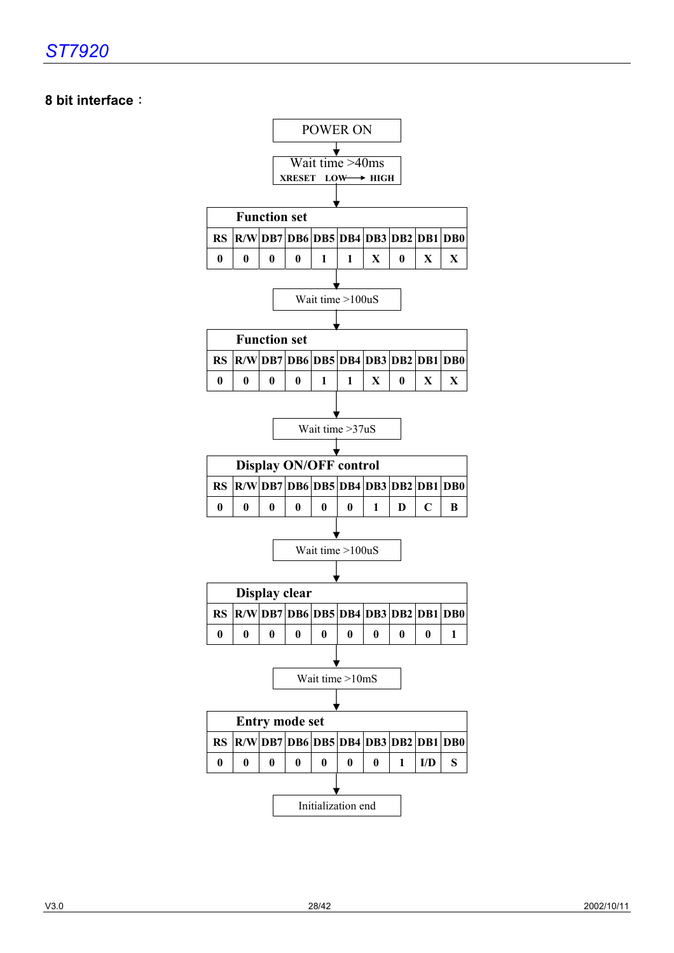## **8 bit interface**:

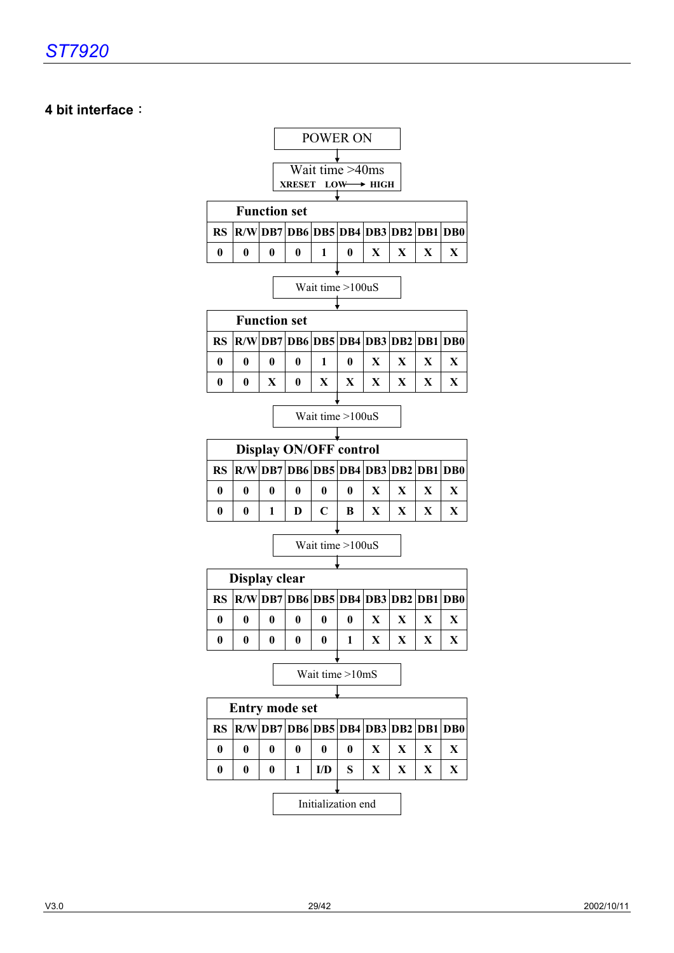## **4 bit interface**:

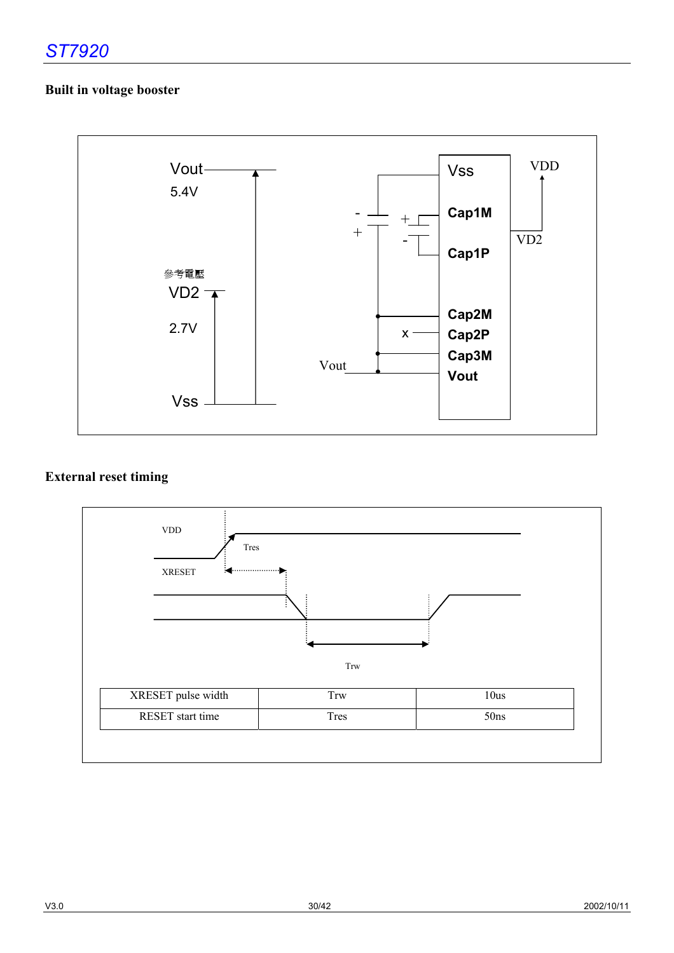## **Built in voltage booster**



## **External reset timing**

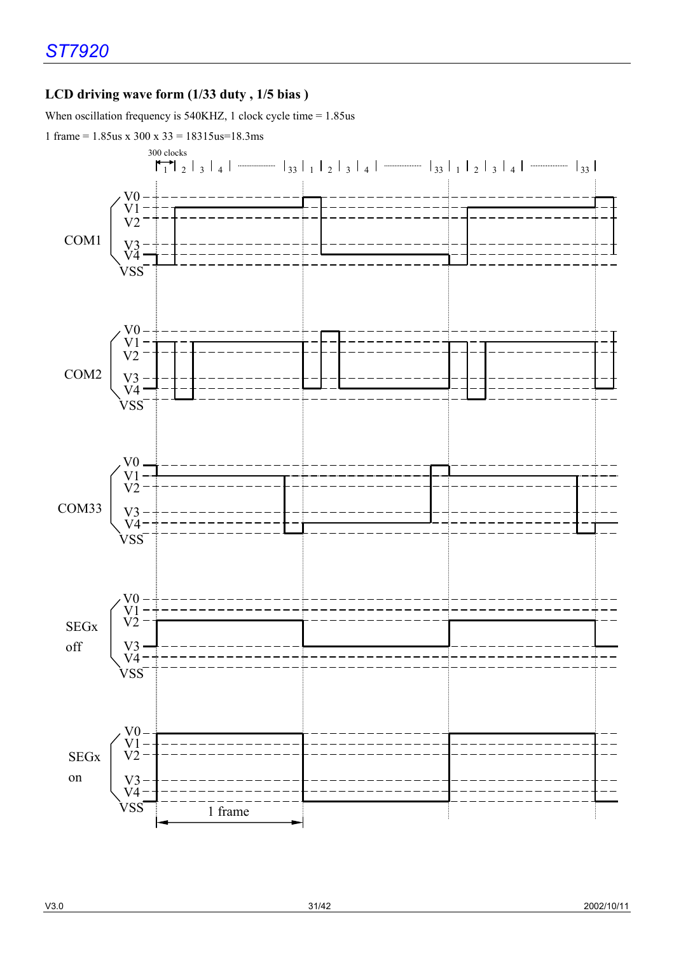## **LCD driving wave form (1/33 duty , 1/5 bias )**

When oscillation frequency is 540KHZ, 1 clock cycle time = 1.85us

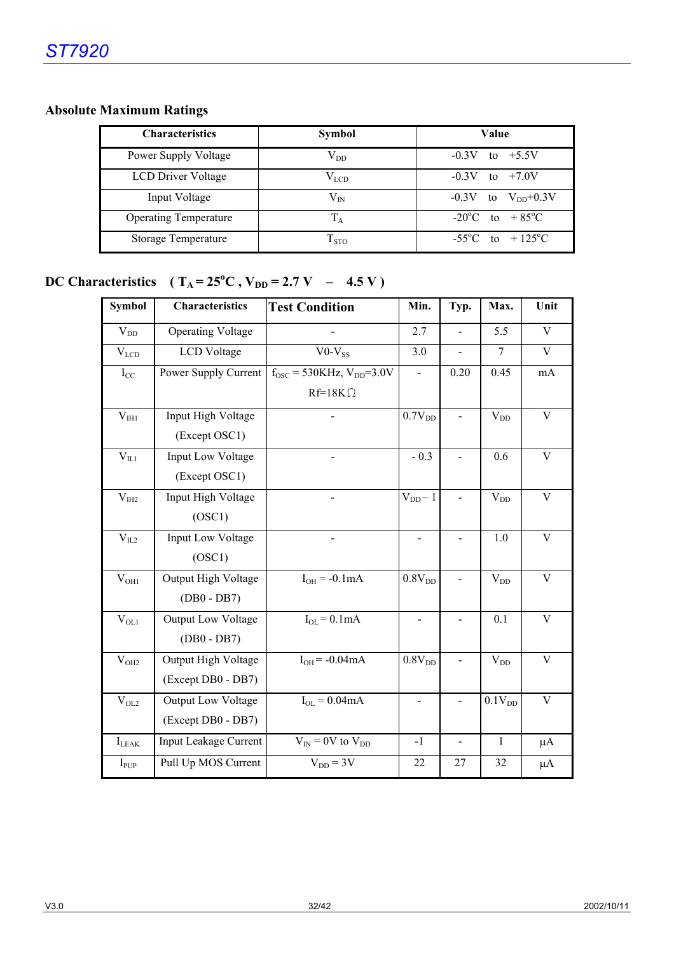## **Absolute Maximum Ratings**

| <b>Characteristics</b>       | <b>Symbol</b> | Value                               |
|------------------------------|---------------|-------------------------------------|
| Power Supply Voltage         | $\rm V_{DD}$  | $-0.3V$<br>to $+5.5V$               |
| <b>LCD Driver Voltage</b>    | $\rm V_{LCD}$ | $-0.3V$<br>to $+7.0V$               |
| Input Voltage                | $\rm V_{IN}$  | $-0.3V$ to $V_{DD}+0.3V$            |
| <b>Operating Temperature</b> | $\rm T_A$     | $-20^{\circ}$ C to $+85^{\circ}$ C  |
| Storage Temperature          | $T_{STO}$     | $-55^{\circ}$ C to $+125^{\circ}$ C |

## **DC Characteristics**  $(T_A = 25^{\circ}C, V_{DD} = 2.7 V - 4.5 V)$

| <b>Symbol</b>     | <b>Characteristics</b>       | <b>Test Condition</b>                      | Min.               | Typ.                     | Max.               | Unit                      |
|-------------------|------------------------------|--------------------------------------------|--------------------|--------------------------|--------------------|---------------------------|
| $V_{DD}$          | <b>Operating Voltage</b>     |                                            | 2.7                | $\overline{a}$           | 5.5                | V                         |
| $V_{LCD}$         | <b>LCD</b> Voltage           | $V0-V_{SS}$                                | 3.0                | $\overline{a}$           | $\overline{7}$     | $\mathbf{V}$              |
| $I_{CC}$          | Power Supply Current         | $f_{\rm OSC}$ = 530KHz, $V_{\rm DD}$ =3.0V |                    | 0.20                     | 0.45               | mA                        |
|                   |                              | $Rf=18K\Omega$                             |                    |                          |                    |                           |
| V <sub>III1</sub> | Input High Voltage           |                                            | 0.7V <sub>DD</sub> |                          | $\rm V_{DD}$       | $\ensuremath{\mathbf{V}}$ |
|                   | (Except OSC1)                |                                            |                    |                          |                    |                           |
| $V_{IL1}$         | Input Low Voltage            |                                            | $-0.3$             |                          | 0.6                | $\mathbf V$               |
|                   | (Except OSC1)                |                                            |                    |                          |                    |                           |
| V <sub>III2</sub> | Input High Voltage           |                                            | $V_{DD}$ -1        |                          | $\rm V_{DD}$       | $\mathbf V$               |
|                   | (OSC1)                       |                                            |                    |                          |                    |                           |
| $\rm V_{IL2}$     | <b>Input Low Voltage</b>     |                                            | $\blacksquare$     |                          | 1.0                | V                         |
|                   | (OSC1)                       |                                            |                    |                          |                    |                           |
| $V_{OH1}$         | Output High Voltage          | $I_{OH} = -0.1mA$                          | 0.8V <sub>DD</sub> |                          | $V_{DD}$           | $\mathbf{V}$              |
|                   | $(DB0 - DB7)$                |                                            |                    |                          |                    |                           |
| $V_{OL1}$         | <b>Output Low Voltage</b>    | $I_{OL} = 0.1mA$                           | $\blacksquare$     |                          | 0.1                | V                         |
|                   | $(DB0 - DB7)$                |                                            |                    |                          |                    |                           |
| $\rm V_{OH2}$     | Output High Voltage          | $IOH = -0.04mA$                            | 0.8V <sub>DD</sub> |                          | $V_{DD}$           | $\mathbf V$               |
|                   | (Except DB0 - DB7)           |                                            |                    |                          |                    |                           |
| $V_{OL2}$         | Output Low Voltage           | $I_{OL} = 0.04mA$                          |                    |                          | 0.1V <sub>DD</sub> | $\mathbf V$               |
|                   | (Except DB0 - DB7)           |                                            |                    |                          |                    |                           |
| $I_{LEAK}$        | <b>Input Leakage Current</b> | $V_{IN}$ = 0V to $V_{DD}$                  | $-1$               | $\overline{\phantom{a}}$ | $\mathbf{1}$       | $\mu A$                   |
| $I_{PUP}$         | Pull Up MOS Current          | $V_{DD} = 3V$                              | 22                 | 27                       | 32                 | $\mu A$                   |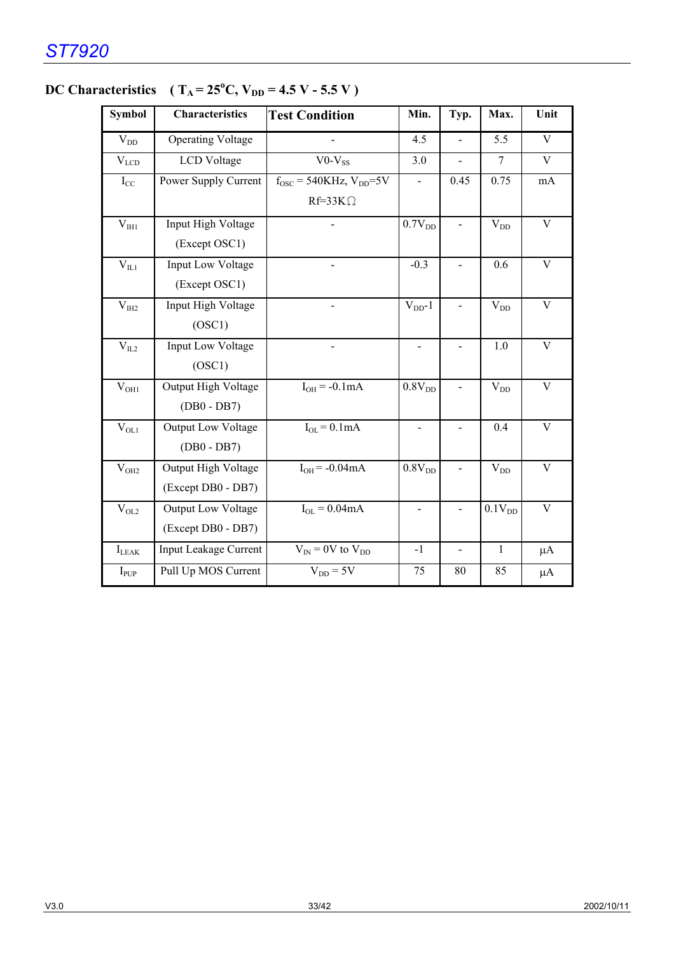| <b>Symbol</b>    | <b>Characteristics</b>    | <b>Test Condition</b>                    | Min.                         | Typ.           | Max.           | Unit                    |
|------------------|---------------------------|------------------------------------------|------------------------------|----------------|----------------|-------------------------|
| $\rm V_{DD}$     | <b>Operating Voltage</b>  |                                          | 4.5                          | $\overline{a}$ | 5.5            | $\mathbf{V}$            |
| $V_{LCD}$        | <b>LCD</b> Voltage        | $V0-V_{SS}$                              | 3.0                          |                | $\overline{7}$ | V                       |
| $I_{CC}$         | Power Supply Current      | $f_{\rm OSC}$ = 540KHz, $V_{\rm DD}$ =5V |                              | 0.45           | 0.75           | mA                      |
|                  |                           | $Rf=33K\Omega$                           |                              |                |                |                         |
| $V_{I H1}$       | Input High Voltage        |                                          | 0.7V <sub>DD</sub>           |                | $V_{DD}$       | $\mathbf V$             |
|                  | (Except OSC1)             |                                          |                              |                |                |                         |
| $\rm V_{II1}$    | <b>Input Low Voltage</b>  |                                          | $-0.3$                       |                | 0.6            | $\mathbf{V}$            |
|                  | (Except OSC1)             |                                          |                              |                |                |                         |
| $\rm V_{IH2}$    | Input High Voltage        |                                          | $V_{DD}$ -1                  |                | $V_{DD}$       | $\overline{V}$          |
|                  | (OSC1)                    |                                          |                              |                |                |                         |
| $\rm V_{IL2}$    | Input Low Voltage         |                                          | $\blacksquare$               |                | 1.0            | $\overline{\mathbf{V}}$ |
|                  | (OSC1)                    |                                          |                              |                |                |                         |
| $V_{OH1}$        | Output High Voltage       | $I_{OH} = -0.1 \overline{mA}$            | 0.8V <sub>DD</sub>           |                | $V_{DD}$       | $\mathbf{V}$            |
|                  | $(DB0 - DB7)$             |                                          |                              |                |                |                         |
| $V_{OL1}$        | <b>Output Low Voltage</b> | $I_{OL} = 0.1mA$                         |                              |                | 0.4            | $\overline{V}$          |
|                  | $(DB0 - DB7)$             |                                          |                              |                |                |                         |
| V <sub>OH2</sub> | Output High Voltage       | $IOH = -0.04mA$                          | $0.8\mathrm{V_{DD}}$         |                | $V_{DD}$       | $\overline{\mathbf{V}}$ |
|                  | (Except DB0 - DB7)        |                                          |                              |                |                |                         |
| $V_{OL2}$        | Output Low Voltage        | $I_{OL} = 0.04mA$                        | $\qquad \qquad \blacksquare$ |                | $0.1V_{DD}$    | V                       |
|                  | (Except DB0 - DB7)        |                                          |                              |                |                |                         |
| $I_{LEAK}$       | Input Leakage Current     | $V_{IN}$ = 0V to $V_{DD}$                | $-1$                         | $\blacksquare$ | $\mathbf{1}$   | $\mu A$                 |
| $I_{PUP}$        | Pull Up MOS Current       | $V_{DD} = 5V$                            | 75                           | 80             | 85             | $\mu A$                 |

## **DC Characteristics**  $(T_A = 25^{\circ}C, V_{DD} = 4.5 V - 5.5 V)$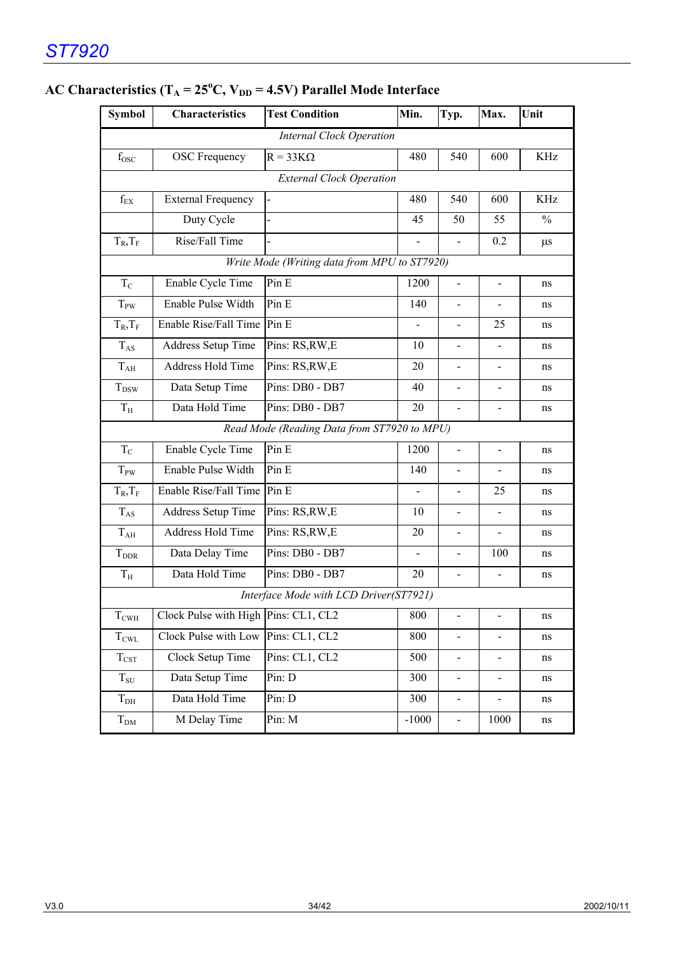| <b>Symbol</b>           | <b>Characteristics</b>               | <b>Test Condition</b>                        | Min.           | Typ.                         | Max.                     | Unit          |
|-------------------------|--------------------------------------|----------------------------------------------|----------------|------------------------------|--------------------------|---------------|
|                         |                                      | <b>Internal Clock Operation</b>              |                |                              |                          |               |
| $f_{\rm{OSC}}$          | <b>OSC</b> Frequency                 | $R = 33K\Omega$                              | 480            | 540                          | 600                      | KHz           |
|                         |                                      | <b>External Clock Operation</b>              |                |                              |                          |               |
| $\rm f_{EX}$            | <b>External Frequency</b>            |                                              | 480            | 540                          | 600                      | <b>KHz</b>    |
|                         | Duty Cycle                           |                                              | 45             | 50                           | 55                       | $\frac{0}{0}$ |
| $T_R$ , $T_F$           | Rise/Fall Time                       |                                              |                |                              | 0.2                      | $\mu$ s       |
|                         |                                      | Write Mode (Writing data from MPU to ST7920) |                |                              |                          |               |
| $T_{C}$                 | Enable Cycle Time                    | Pin E                                        | 1200           | $\overline{\phantom{a}}$     | $\overline{\phantom{a}}$ | ns            |
| $T_{PW}$                | Enable Pulse Width                   | Pin E                                        | 140            | $\overline{\phantom{a}}$     |                          | ns            |
| $T_R$ , $T_F$           | Enable Rise/Fall Time                | Pin E                                        | $\overline{a}$ | $\blacksquare$               | 25                       | ns            |
| $T_{AS}$                | Address Setup Time                   | Pins: RS, RW, E                              | 10             | $\overline{a}$               |                          | ns            |
| $T_{AH}$                | <b>Address Hold Time</b>             | Pins: RS, RW, E                              | 20             |                              |                          | ns            |
| $T_{DSW}$               | Data Setup Time                      | Pins: DB0 - DB7                              | 40             |                              |                          | ns            |
| $T_{\rm H}$             | Data Hold Time                       | Pins: DB0 - DB7                              | 20             |                              |                          | ns            |
|                         |                                      | Read Mode (Reading Data from ST7920 to MPU)  |                |                              |                          |               |
| $T_{\rm C}$             | Enable Cycle Time                    | Pin E                                        | 1200           |                              |                          | ns            |
| $T_{PW}$                | Enable Pulse Width                   | Pin E                                        | 140            |                              |                          | ns            |
| $T_R$ , $T_F$           | Enable Rise/Fall Time                | Pin E                                        | $\overline{a}$ |                              | 25                       | ns            |
| $T_{AS}$                | <b>Address Setup Time</b>            | Pins: RS, RW, E                              | 10             |                              |                          | ns            |
| $T_{AH}$                | <b>Address Hold Time</b>             | Pins: RS, RW, E                              | 20             | $\overline{\phantom{0}}$     |                          | ns            |
| <b>T</b> <sub>DDR</sub> | Data Delay Time                      | Pins: DB0 - DB7                              |                | $\qquad \qquad \blacksquare$ | 100                      | ns            |
| $T_{\rm H}$             | Data Hold Time                       | Pins: DB0 - DB7                              | 20             | $\frac{1}{2}$                |                          | ns            |
|                         |                                      | Interface Mode with LCD Driver(ST7921)       |                |                              |                          |               |
| $T_{\text{CWH}}$        | Clock Pulse with High Pins: CL1, CL2 |                                              | 800            | $\blacksquare$               | $\frac{1}{2}$            | ns            |
| $T_{\rm CWL}$           | Clock Pulse with Low                 | Pins: CL1, CL2                               | 800            | $\blacksquare$               | $\blacksquare$           | ns            |
| $T_{\rm{CST}}$          | Clock Setup Time                     | Pins: CL1, CL2                               | 500            | $\blacksquare$               | $\overline{\phantom{a}}$ | ns            |
| $T_{\rm SU}$            | Data Setup Time                      | Pin: D                                       | 300            | $\blacksquare$               | $\blacksquare$           | ns            |
| $T_{DH}$                | Data Hold Time                       | Pin: D                                       | 300            | $\overline{\phantom{0}}$     |                          | ns            |
| $T_{DM}$                | M Delay Time                         | Pin: M                                       | $-1000$        | $\frac{1}{2}$                | 1000                     | ns            |

## AC Characteristics  $(T_A = 25^{\circ}C, V_{DD} = 4.5V)$  Parallel Mode Interface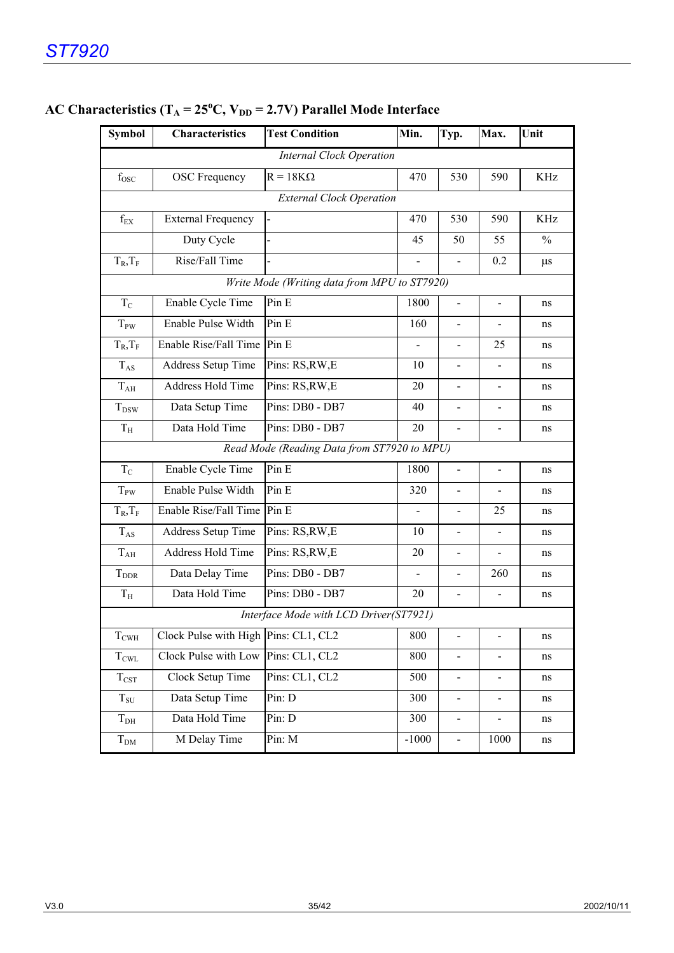| <b>Symbol</b>                                | <b>Characteristics</b>                      | <b>Test Condition</b>                  | Min.                     | Typ.                         | Max.                         | Unit          |  |  |  |  |
|----------------------------------------------|---------------------------------------------|----------------------------------------|--------------------------|------------------------------|------------------------------|---------------|--|--|--|--|
|                                              |                                             | <b>Internal Clock Operation</b>        |                          |                              |                              |               |  |  |  |  |
| $f_{\rm{OSC}}$                               | <b>OSC</b> Frequency                        | $R = 18K\Omega$                        | 470                      | 530                          | 590                          | KHz           |  |  |  |  |
|                                              | <b>External Clock Operation</b>             |                                        |                          |                              |                              |               |  |  |  |  |
| $f_{EX}$                                     | <b>External Frequency</b>                   |                                        | 470                      | 530                          | 590                          | KHz           |  |  |  |  |
|                                              | Duty Cycle                                  |                                        | 45                       | 50                           | 55                           | $\frac{0}{0}$ |  |  |  |  |
| $T_R$ , $T_F$                                | Rise/Fall Time                              |                                        |                          |                              | 0.2                          | $\mu$ s       |  |  |  |  |
| Write Mode (Writing data from MPU to ST7920) |                                             |                                        |                          |                              |                              |               |  |  |  |  |
| $T_{C}$                                      | Enable Cycle Time                           | Pin E                                  | 1800                     | $\overline{\phantom{0}}$     | $\overline{\phantom{0}}$     | ns            |  |  |  |  |
| $T_{PW}$                                     | Enable Pulse Width                          | Pin E                                  | 160                      | $\blacksquare$               | $\blacksquare$               | ns            |  |  |  |  |
| $T_R$ , $T_F$                                | Enable Rise/Fall Time                       | Pin E                                  | $\overline{\phantom{0}}$ | $\overline{a}$               | 25                           | ns            |  |  |  |  |
| $T_{AS}$                                     | Address Setup Time                          | Pins: RS, RW, E                        | 10                       | $\blacksquare$               | $\blacksquare$               | ns            |  |  |  |  |
| $T_{AH}$                                     | <b>Address Hold Time</b>                    | Pins: RS, RW, E                        | 20                       | $\overline{\phantom{0}}$     | $\overline{\phantom{m}}$     | ns            |  |  |  |  |
| $T_{DSW}$                                    | Data Setup Time                             | Pins: DB0 - DB7                        | 40                       | $\overline{\phantom{a}}$     | $\overline{a}$               | ns            |  |  |  |  |
| $T_{\rm H}$                                  | Data Hold Time                              | Pins: DB0 - DB7                        | 20                       | $\overline{a}$               | $\overline{a}$               | ns            |  |  |  |  |
|                                              | Read Mode (Reading Data from ST7920 to MPU) |                                        |                          |                              |                              |               |  |  |  |  |
| $T_{C}$                                      | Enable Cycle Time                           | Pin E                                  | 1800                     | $\overline{a}$               | $\overline{a}$               | ns            |  |  |  |  |
| $T_{PW}$                                     | Enable Pulse Width                          | Pin E                                  | 320                      |                              |                              | ns            |  |  |  |  |
| $T_R$ , $T_F$                                | Enable Rise/Fall Time                       | Pin E                                  | $\overline{\phantom{a}}$ |                              | 25                           | ns            |  |  |  |  |
| $T_{AS}$                                     | Address Setup Time                          | Pins: RS, RW, E                        | 10                       |                              | $\overline{\phantom{a}}$     | ns            |  |  |  |  |
| $T_{AH}$                                     | <b>Address Hold Time</b>                    | Pins: RS, RW, E                        | 20                       | $\qquad \qquad \blacksquare$ | $\overline{\phantom{a}}$     | ns            |  |  |  |  |
| $T_{\rm DDR}$                                | Data Delay Time                             | Pins: DB0 - DB7                        | Ξ.                       |                              | 260                          | ns            |  |  |  |  |
| $T_{\rm H}$                                  | Data Hold Time                              | Pins: DB0 - DB7                        | 20                       | $\overline{a}$               | $\overline{a}$               | ns            |  |  |  |  |
|                                              |                                             | Interface Mode with LCD Driver(ST7921) |                          |                              |                              |               |  |  |  |  |
| $T_{\text{CWH}}$                             | Clock Pulse with High Pins: CL1, CL2        |                                        | 800                      |                              | $\overline{\phantom{0}}$     | ns            |  |  |  |  |
| $T_{\rm CWL}$                                | Clock Pulse with Low                        | Pins: CL1, CL2                         | 800                      | $\blacksquare$               | $\overline{\phantom{0}}$     | ns            |  |  |  |  |
| $T_{\rm{CST}}$                               | Clock Setup Time                            | Pins: CL1, CL2                         | 500                      | $\qquad \qquad \blacksquare$ | $\overline{\phantom{0}}$     | ns            |  |  |  |  |
| $T_{\rm SU}$                                 | Data Setup Time                             | Pin: D                                 | 300                      | $\overline{\phantom{a}}$     | $\overline{\phantom{0}}$     | ns            |  |  |  |  |
| T <sub>DH</sub>                              | Data Hold Time                              | Pin: D                                 | 300                      | $\qquad \qquad \blacksquare$ | $\qquad \qquad \blacksquare$ | ns            |  |  |  |  |
| $T_{DM}$                                     | M Delay Time                                | Pin: M                                 | $-1000$                  | $\blacksquare$               | 1000                         | ns            |  |  |  |  |

## AC Characteristics (T<sub>A</sub> = 25<sup>o</sup>C, V<sub>DD</sub> = 2.7V) Parallel Mode Interface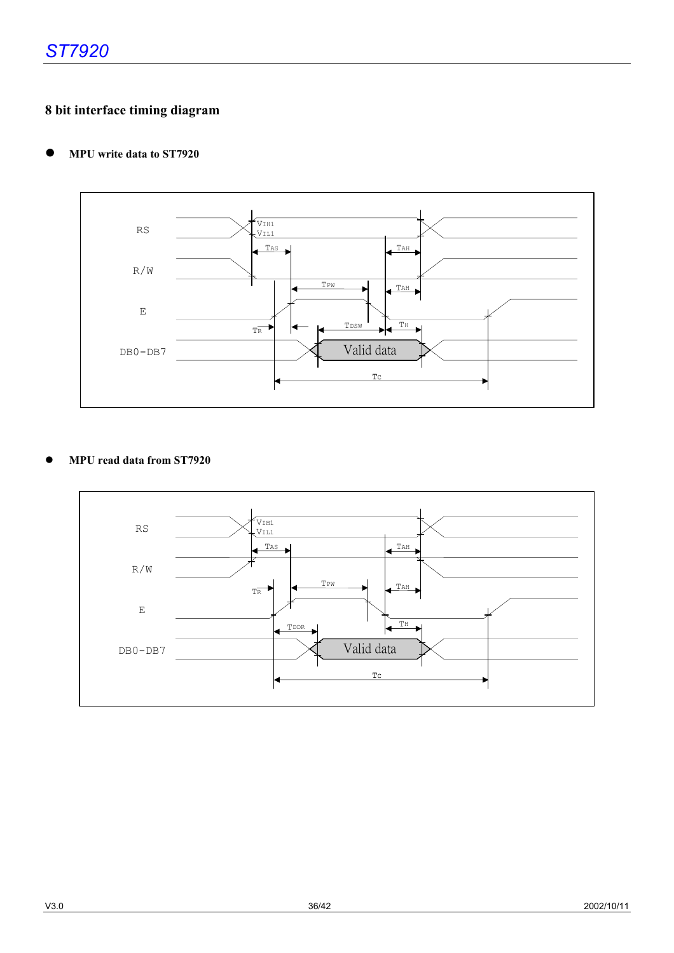## **8 bit interface timing diagram**

#### **• MPU write data to ST7920**



#### z **MPU read data from ST7920**

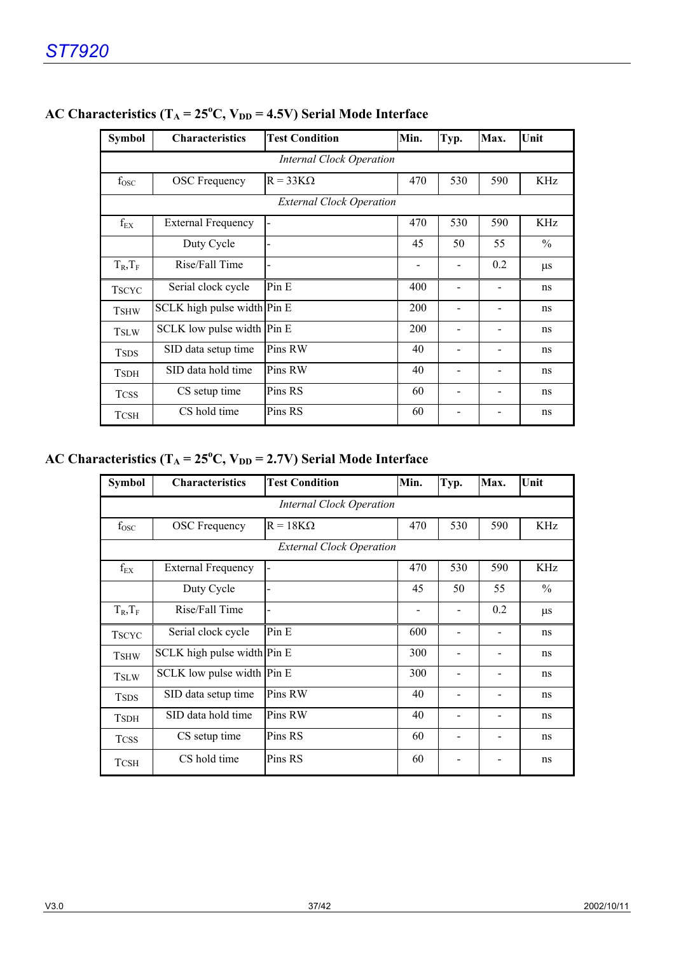| <b>Symbol</b>                   | <b>Characteristics</b>      | <b>Test Condition</b> | Min.                         | Typ.                     | Max.                     | Unit          |  |  |
|---------------------------------|-----------------------------|-----------------------|------------------------------|--------------------------|--------------------------|---------------|--|--|
| <b>Internal Clock Operation</b> |                             |                       |                              |                          |                          |               |  |  |
| $f_{\rm{OSC}}$                  | <b>OSC</b> Frequency        | $R = 33K\Omega$       | 470                          | 530                      | 590                      | KHz           |  |  |
| <b>External Clock Operation</b> |                             |                       |                              |                          |                          |               |  |  |
| $\rm{f_{EX}}$                   | <b>External Frequency</b>   |                       | 470                          | 530                      | 590                      | KHz           |  |  |
|                                 | Duty Cycle                  |                       | 45                           | 50                       | 55                       | $\frac{0}{0}$ |  |  |
| $T_R, T_F$                      | Rise/Fall Time              |                       | $\qquad \qquad \blacksquare$ | $\blacksquare$           | 0.2                      | $\mu$ s       |  |  |
| <b>TSCYC</b>                    | Serial clock cycle          | Pin E                 | 400                          |                          |                          | ns            |  |  |
| <b>TSHW</b>                     | SCLK high pulse width Pin E |                       | 200                          |                          |                          | ns            |  |  |
| <b>TSLW</b>                     | SCLK low pulse width Pin E  |                       | 200                          | $\overline{\phantom{0}}$ | $\overline{\phantom{0}}$ | ns            |  |  |
| <b>TSDS</b>                     | SID data setup time         | Pins RW               | 40                           |                          |                          | ns            |  |  |
| <b>TSDH</b>                     | SID data hold time          | Pins RW               | 40                           |                          |                          | ns            |  |  |
| <b>TCSS</b>                     | CS setup time               | Pins RS               | 60                           |                          |                          | ns            |  |  |
| <b>TCSH</b>                     | CS hold time                | Pins RS               | 60                           |                          |                          | ns            |  |  |

## AC Characteristics  $(T_A = 25^{\circ}C, V_{DD} = 4.5V)$  Serial Mode Interface

## AC Characteristics  $(T_A = 25^{\circ}C, V_{DD} = 2.7V)$  Serial Mode Interface

| <b>Symbol</b>                   | <b>Characteristics</b>      | <b>Test Condition</b> | Min. | Typ.           | Max. | Unit          |
|---------------------------------|-----------------------------|-----------------------|------|----------------|------|---------------|
| Internal Clock Operation        |                             |                       |      |                |      |               |
| $f_{\rm{OSC}}$                  | <b>OSC</b> Frequency        | $R = 18K\Omega$       | 470  | 530            | 590  | KHz           |
| <b>External Clock Operation</b> |                             |                       |      |                |      |               |
| $f_{EX}$                        | <b>External Frequency</b>   |                       | 470  | 530            | 590  | KHz           |
|                                 | Duty Cycle                  |                       | 45   | 50             | 55   | $\frac{0}{0}$ |
| $T_R, T_F$                      | Rise/Fall Time              |                       |      |                | 0.2  | $\mu$ s       |
| <b>TSCYC</b>                    | Serial clock cycle          | Pin E                 | 600  | $\overline{a}$ |      | ns            |
| <b>TSHW</b>                     | SCLK high pulse width Pin E |                       | 300  | $\blacksquare$ |      | ns            |
| <b>TSLW</b>                     | SCLK low pulse width Pin E  |                       | 300  |                |      | ns            |
| <b>TSDS</b>                     | SID data setup time         | Pins RW               | 40   |                |      | ns            |
| <b>TSDH</b>                     | SID data hold time          | Pins RW               | 40   | $\overline{a}$ |      | ns            |
| <b>TCSS</b>                     | CS setup time               | Pins RS               | 60   | $\overline{a}$ |      | ns            |
| <b>TCSH</b>                     | CS hold time                | Pins RS               | 60   |                |      | ns            |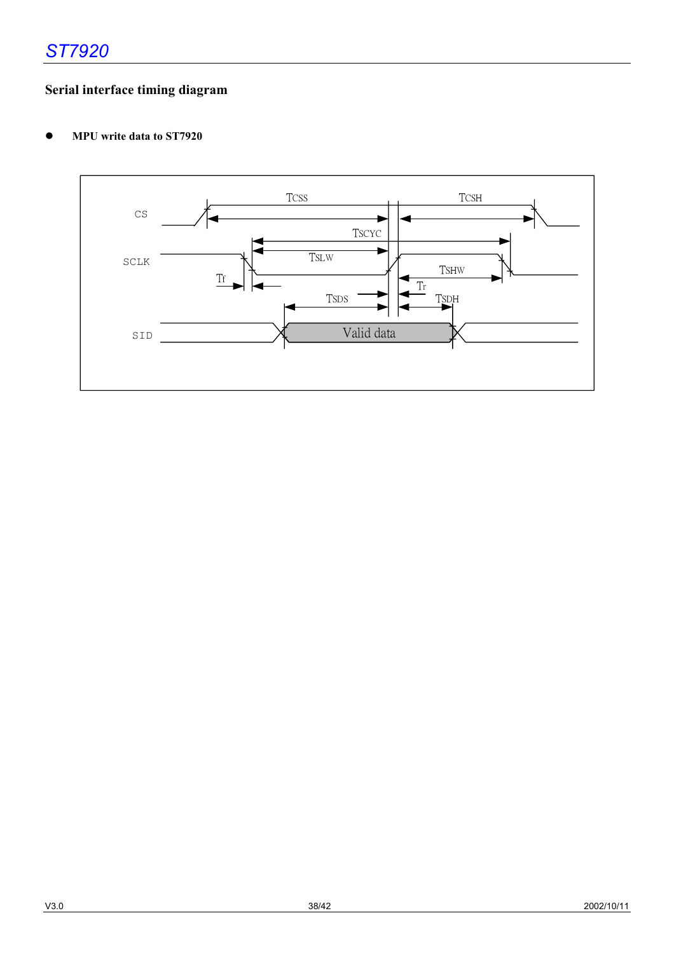## **Serial interface timing diagram**

**•** MPU write data to ST7920

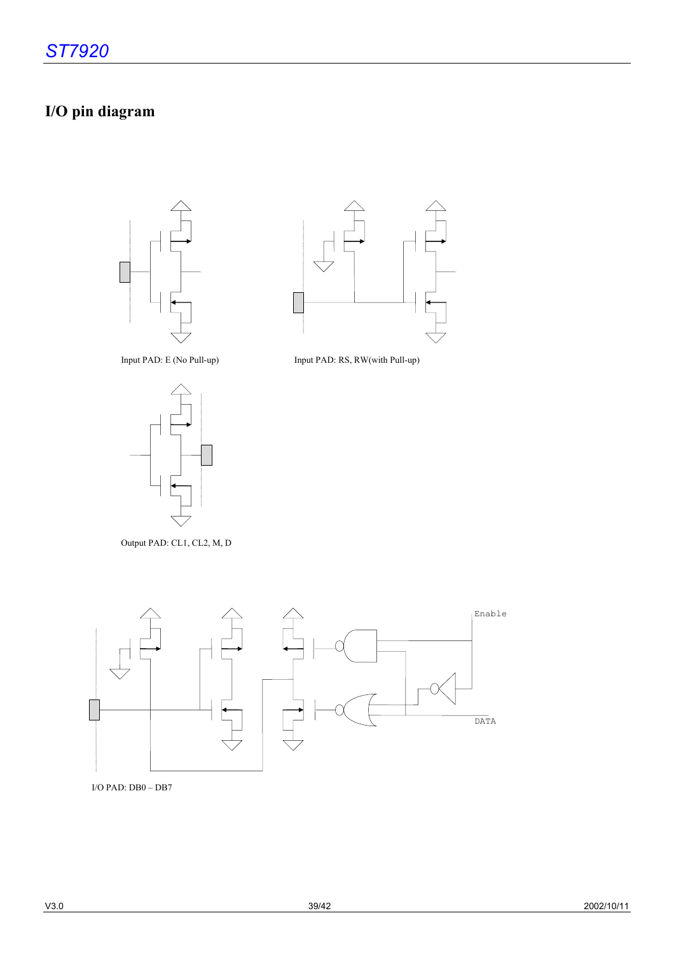# **I/O pin diagram**





Input PAD: E (No Pull-up) Input PAD: RS, RW(with Pull-up)



Output PAD: CL1, CL2, M, D



I/O PAD: DB0 – DB7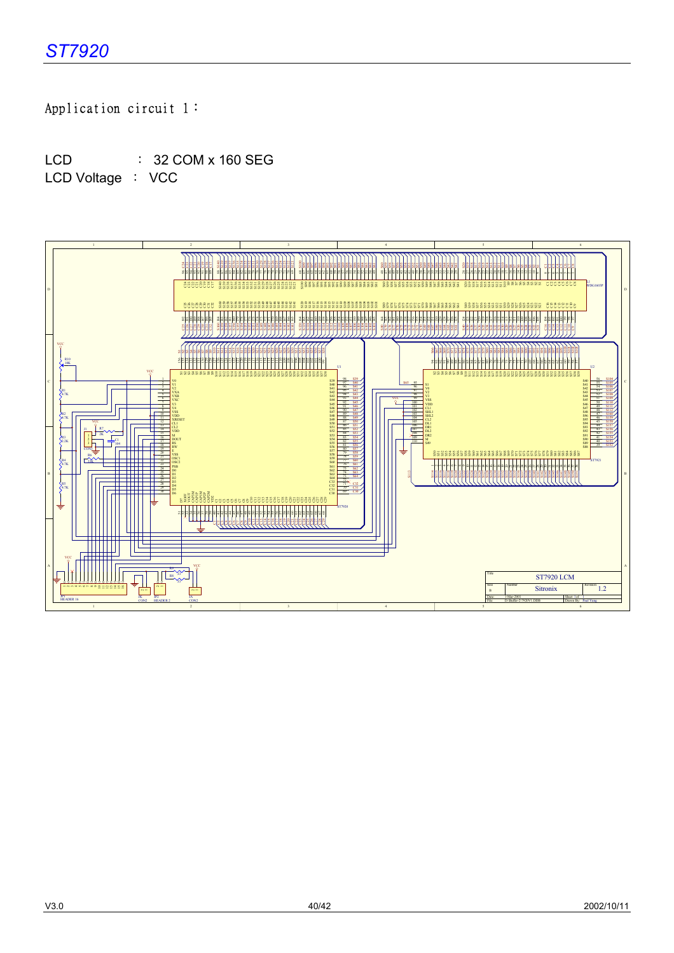## Application circuit 1:

LCD : 32 COM x 160 SEG LCD Voltage : VCC

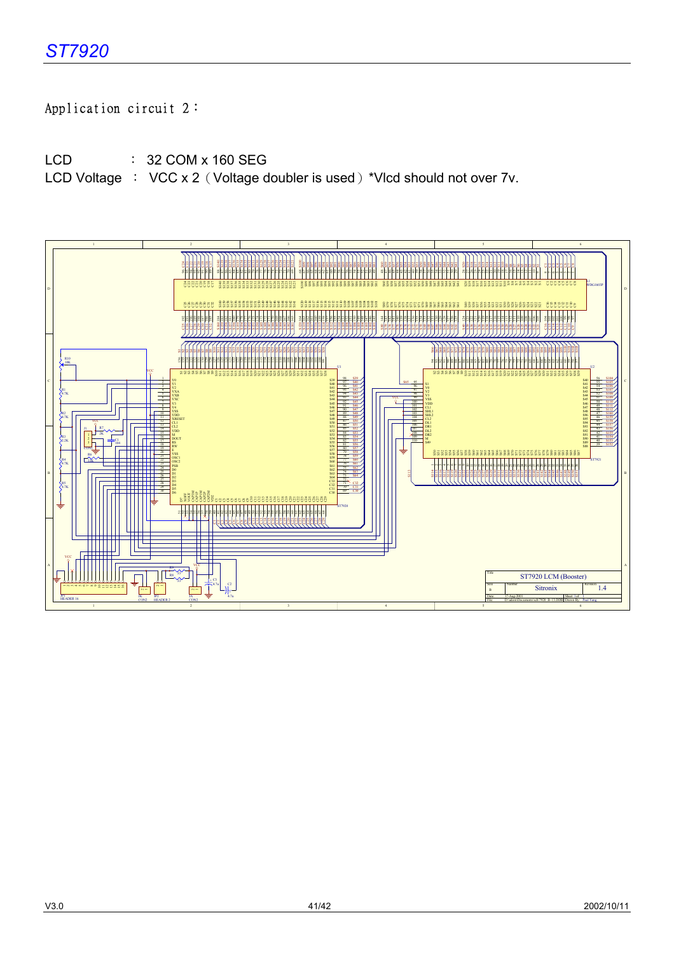## Application circuit 2:

LCD : 32 COM x 160 SEG

LCD Voltage : VCC x 2 (Voltage doubler is used) \*Vlcd should not over 7v.